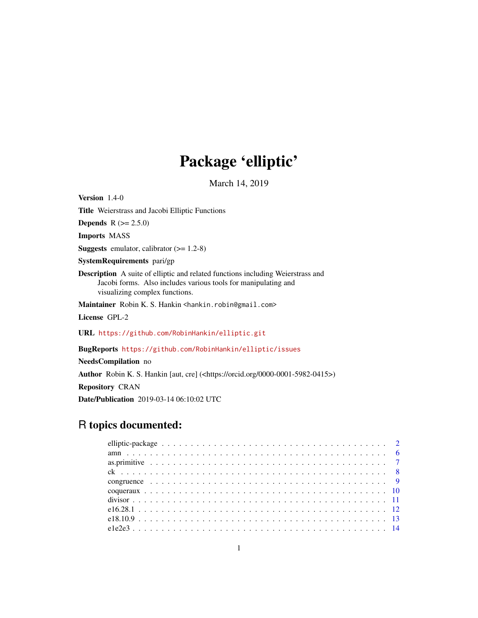# Package 'elliptic'

March 14, 2019

Version 1.4-0 Title Weierstrass and Jacobi Elliptic Functions **Depends**  $R (= 2.5.0)$ Imports MASS **Suggests** emulator, calibrator  $(>= 1.2-8)$ SystemRequirements pari/gp Description A suite of elliptic and related functions including Weierstrass and Jacobi forms. Also includes various tools for manipulating and visualizing complex functions. Maintainer Robin K. S. Hankin <hankin.robin@gmail.com> License GPL-2 URL <https://github.com/RobinHankin/elliptic.git> BugReports <https://github.com/RobinHankin/elliptic/issues>

NeedsCompilation no Author Robin K. S. Hankin [aut, cre] (<https://orcid.org/0000-0001-5982-0415>) Repository CRAN Date/Publication 2019-03-14 06:10:02 UTC

# R topics documented: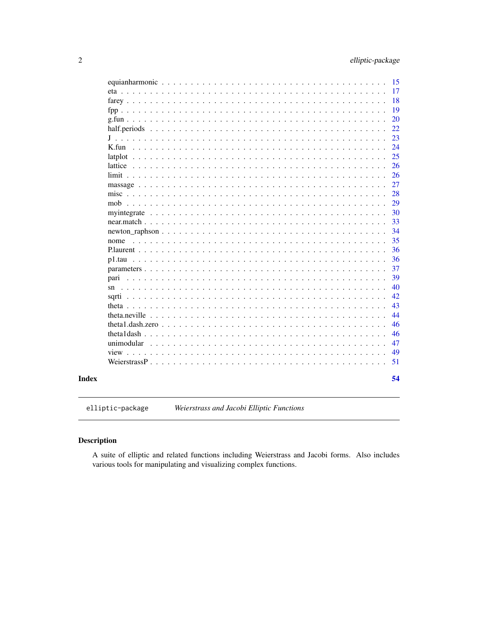<span id="page-1-0"></span>

|                                                                                                                                                                                                                                                                                                                                                                                                                                                                                      | 15 |
|--------------------------------------------------------------------------------------------------------------------------------------------------------------------------------------------------------------------------------------------------------------------------------------------------------------------------------------------------------------------------------------------------------------------------------------------------------------------------------------|----|
|                                                                                                                                                                                                                                                                                                                                                                                                                                                                                      |    |
| eta                                                                                                                                                                                                                                                                                                                                                                                                                                                                                  | 17 |
|                                                                                                                                                                                                                                                                                                                                                                                                                                                                                      | 18 |
|                                                                                                                                                                                                                                                                                                                                                                                                                                                                                      | 19 |
|                                                                                                                                                                                                                                                                                                                                                                                                                                                                                      | 20 |
| half.periods<br><u>and a discussion of the set of the set of the set of the set of the set of the set of the set of the set of the set of the set of the set of the set of the set of the set of the set of the set of the set of the set of the</u><br>$\sim$ $\sim$ $\sim$<br>$\sim$ $\sim$<br>1.1.1.1.1<br>$\sim$<br>$\sim$<br>$\sim$                                                                                                                                             | 22 |
| J<br>$\mathbb{R}^2$ . The same $\mathbb{R}^2$<br>$\ddot{\phantom{0}}$<br>$\ddot{\phantom{0}}$<br>$\mathbf{r}$<br>$\ddot{\phantom{a}}$<br>$\ddot{\phantom{a}}$<br>$\mathbf{r}$<br>$\overline{a}$<br>$\ddot{\phantom{a}}$<br>$\mathbf{r}$<br>$\cdot$                                                                                                                                                                                                                                   | 23 |
| $K$ .fun<br>$\sim$ $\sim$                                                                                                                                                                                                                                                                                                                                                                                                                                                            | 24 |
|                                                                                                                                                                                                                                                                                                                                                                                                                                                                                      | 25 |
| lattice $\ldots \ldots \ldots \ldots \ldots \ldots \ldots \ldots \ldots \ldots$                                                                                                                                                                                                                                                                                                                                                                                                      | 26 |
| $limit \dots \dots$<br>$\ddot{\phantom{a}}$                                                                                                                                                                                                                                                                                                                                                                                                                                          | 26 |
|                                                                                                                                                                                                                                                                                                                                                                                                                                                                                      | 27 |
|                                                                                                                                                                                                                                                                                                                                                                                                                                                                                      | 28 |
| mob<br>and a straight and a                                                                                                                                                                                                                                                                                                                                                                                                                                                          | 29 |
|                                                                                                                                                                                                                                                                                                                                                                                                                                                                                      | 30 |
| myintegrate<br>$\ddot{\phantom{a}}$<br>$\ddot{\phantom{0}}$<br>$\mathbf{r}$ . The state of the state $\mathbf{r}$<br>$\ddot{\phantom{1}}$<br>$\ddot{\phantom{0}}$<br>$\cdot$                                                                                                                                                                                                                                                                                                         |    |
|                                                                                                                                                                                                                                                                                                                                                                                                                                                                                      | 33 |
|                                                                                                                                                                                                                                                                                                                                                                                                                                                                                      | 34 |
| nome<br>and the state of the state of<br>and the second control of                                                                                                                                                                                                                                                                                                                                                                                                                   | 35 |
| Plaurent<br>$\overline{a}$                                                                                                                                                                                                                                                                                                                                                                                                                                                           | 36 |
| p1.tau                                                                                                                                                                                                                                                                                                                                                                                                                                                                               | 36 |
|                                                                                                                                                                                                                                                                                                                                                                                                                                                                                      | 37 |
| pari<br>$\sim$ $\sim$ $\sim$ $\sim$ $\sim$ $\sim$ $\sim$<br>$\mathbf{L}$                                                                                                                                                                                                                                                                                                                                                                                                             | 39 |
| sn<br>$\mathbf{r}$<br>$\sim$ $\sim$<br>$\sim$ $\sim$<br>$\mathbf{r}$<br>$\ddot{\phantom{0}}$                                                                                                                                                                                                                                                                                                                                                                                         | 40 |
| sqrti                                                                                                                                                                                                                                                                                                                                                                                                                                                                                | 42 |
|                                                                                                                                                                                                                                                                                                                                                                                                                                                                                      | 43 |
|                                                                                                                                                                                                                                                                                                                                                                                                                                                                                      | 44 |
| theta1.dash.zero<br>$\mathbf{L}$<br>$\ddot{\phantom{0}}$                                                                                                                                                                                                                                                                                                                                                                                                                             | 46 |
|                                                                                                                                                                                                                                                                                                                                                                                                                                                                                      | 46 |
| unimodular                                                                                                                                                                                                                                                                                                                                                                                                                                                                           | 47 |
| view.<br>$\mathbf{r}$ , $\mathbf{r}$ , $\mathbf{r}$ , $\mathbf{r}$ , $\mathbf{r}$ , $\mathbf{r}$ , $\mathbf{r}$<br>$\sim$<br><u>and a discussion of the set of the set of the set of the set of the set of the set of the set of the set of the set of the set of the set of the set of the set of the set of the set of the set of the set of the set of the</u><br>$\mathbf{r}$ , $\mathbf{r}$ , $\mathbf{r}$ , $\mathbf{r}$ , $\mathbf{r}$<br>$\mathbf{r}$<br>$\sim$<br>and a car | 49 |
| Weierstrass $P_1, \ldots, P_n$                                                                                                                                                                                                                                                                                                                                                                                                                                                       | 51 |
| $\mathbf{r}$ , $\mathbf{r}$ , $\mathbf{r}$ , $\mathbf{r}$ , $\mathbf{r}$<br>$\mathbf{r}$ , $\mathbf{r}$ , $\mathbf{r}$ , $\mathbf{r}$ , $\mathbf{r}$ , $\mathbf{r}$<br>$\sim$ $\sim$<br>$\mathbf{1}$<br>$\mathbf{L}^{\text{max}}$                                                                                                                                                                                                                                                    |    |
|                                                                                                                                                                                                                                                                                                                                                                                                                                                                                      | 54 |
|                                                                                                                                                                                                                                                                                                                                                                                                                                                                                      |    |

Weierstrass and Jacobi Elliptic Functions elliptic-package

# Description

**Index** 

A suite of elliptic and related functions including Weierstrass and Jacobi forms. Also includes various tools for manipulating and visualizing complex functions.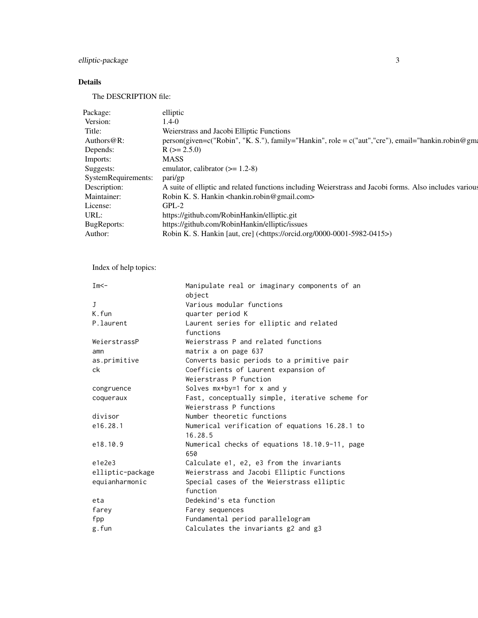# elliptic-package 3

# Details

The DESCRIPTION file:

| Package:            | elliptic                                                                                                |
|---------------------|---------------------------------------------------------------------------------------------------------|
| Version:            | 1.4-0                                                                                                   |
| Title:              | Weierstrass and Jacobi Elliptic Functions                                                               |
| Authors $@R$ :      | person(given=c("Robin", "K. S."), family="Hankin", role = c("aut", "cre"), email="hankin.robin@gm       |
| Depends:            | $R$ ( $>= 2.5.0$ )                                                                                      |
| Imports:            | <b>MASS</b>                                                                                             |
| Suggests:           | emulator, calibrator $(>= 1.2-8)$                                                                       |
| SystemRequirements: | pari/gp                                                                                                 |
| Description:        | A suite of elliptic and related functions including Weierstrass and Jacobi forms. Also includes various |
| Maintainer:         | Robin K. S. Hankin <hankin.robin@gmail.com></hankin.robin@gmail.com>                                    |
| License:            | $GPL-2$                                                                                                 |
| URL:                | https://github.com/RobinHankin/elliptic.git                                                             |
| BugReports:         | https://github.com/RobinHankin/elliptic/issues                                                          |
| Author:             | Robin K. S. Hankin [aut, cre] ( <https: 0000-0001-5982-0415="" orcid.org="">)</https:>                  |
|                     |                                                                                                         |

Index of help topics:

| $Im<$ -          | Manipulate real or imaginary components of an   |
|------------------|-------------------------------------------------|
|                  | object                                          |
| $\mathbf{J}$     | Various modular functions                       |
| K.fun            | quarter period K                                |
| P.laurent        | Laurent series for elliptic and related         |
|                  | functions                                       |
| WeierstrassP     | Weierstrass P and related functions             |
| amn              | matrix a on page 637                            |
| as.primitive     | Converts basic periods to a primitive pair      |
| ck               | Coefficients of Laurent expansion of            |
|                  | Weierstrass P function                          |
| congruence       | Solves mx+by=1 for x and y                      |
| coqueraux        | Fast, conceptually simple, iterative scheme for |
|                  | Weierstrass P functions                         |
| divisor          | Number theoretic functions                      |
| e16.28.1         | Numerical verification of equations 16.28.1 to  |
|                  | 16.28.5                                         |
| e18.10.9         | Numerical checks of equations 18.10.9-11, page  |
|                  | 650                                             |
| e1e2e3           | Calculate e1, e2, e3 from the invariants        |
| elliptic-package | Weierstrass and Jacobi Elliptic Functions       |
| equianharmonic   | Special cases of the Weierstrass elliptic       |
|                  | function                                        |
| eta              | Dedekind's eta function                         |
| farey            | Farey sequences                                 |
| fpp              | Fundamental period parallelogram                |
| g.fun            | Calculates the invariants g2 and g3             |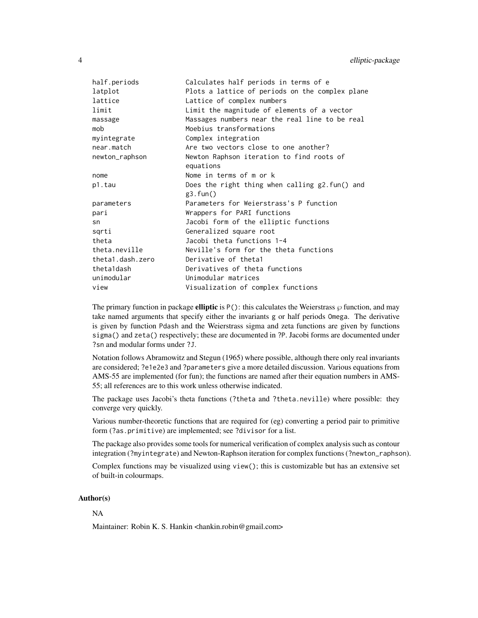| half.periods     | Calculates half periods in terms of e              |
|------------------|----------------------------------------------------|
| latplot          | Plots a lattice of periods on the complex plane    |
| lattice          | Lattice of complex numbers                         |
| limit            | Limit the magnitude of elements of a vector        |
| massage          | Massages numbers near the real line to be real     |
| mob              | Moebius transformations                            |
| myintegrate      | Complex integration                                |
| near.match       | Are two vectors close to one another?              |
| newton_raphson   | Newton Raphson iteration to find roots of          |
|                  | equations                                          |
| nome             | Nome in terms of m or k                            |
| p1.tau           | Does the right thing when calling $g2$ . fun() and |
|                  | g3.fun()                                           |
| parameters       | Parameters for Weierstrass's P function            |
| pari             | Wrappers for PARI functions                        |
| sn               | Jacobi form of the elliptic functions              |
| sqrti            | Generalized square root                            |
| theta            | Jacobi theta functions 1-4                         |
| theta.neville    | Neville's form for the theta functions             |
| theta1.dash.zero | Derivative of thetal                               |
| theta1dash       | Derivatives of theta functions                     |
| unimodular       | Unimodular matrices                                |
| view             | Visualization of complex functions                 |

The primary function in package **elliptic** is  $P()$ : this calculates the Weierstrass  $\varphi$  function, and may take named arguments that specify either the invariants g or half periods Omega. The derivative is given by function Pdash and the Weierstrass sigma and zeta functions are given by functions sigma() and zeta() respectively; these are documented in ?P. Jacobi forms are documented under ?sn and modular forms under ?J.

Notation follows Abramowitz and Stegun (1965) where possible, although there only real invariants are considered; ?e1e2e3 and ?parameters give a more detailed discussion. Various equations from AMS-55 are implemented (for fun); the functions are named after their equation numbers in AMS-55; all references are to this work unless otherwise indicated.

The package uses Jacobi's theta functions (?theta and ?theta.neville) where possible: they converge very quickly.

Various number-theoretic functions that are required for (eg) converting a period pair to primitive form (?as.primitive) are implemented; see ?divisor for a list.

The package also provides some tools for numerical verification of complex analysis such as contour integration (?myintegrate) and Newton-Raphson iteration for complex functions (?newton\_raphson).

Complex functions may be visualized using view(); this is customizable but has an extensive set of built-in colourmaps.

#### Author(s)

#### NA

Maintainer: Robin K. S. Hankin <hankin.robin@gmail.com>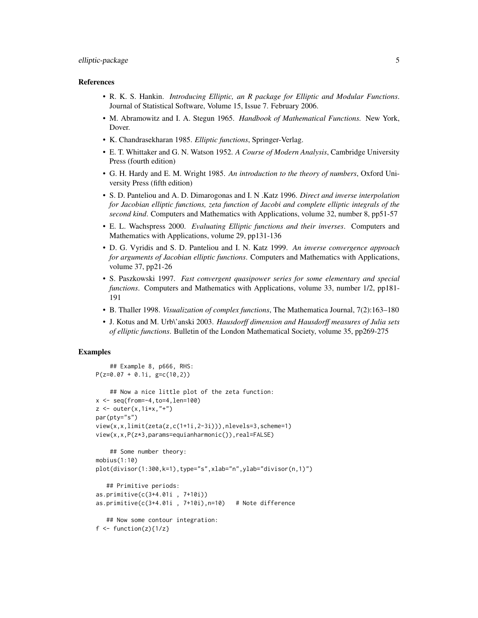# elliptic-package 5

#### References

- R. K. S. Hankin. *Introducing Elliptic, an R package for Elliptic and Modular Functions*. Journal of Statistical Software, Volume 15, Issue 7. February 2006.
- M. Abramowitz and I. A. Stegun 1965. *Handbook of Mathematical Functions.* New York, Dover.
- K. Chandrasekharan 1985. *Elliptic functions*, Springer-Verlag.
- E. T. Whittaker and G. N. Watson 1952. *A Course of Modern Analysis*, Cambridge University Press (fourth edition)
- G. H. Hardy and E. M. Wright 1985. *An introduction to the theory of numbers*, Oxford University Press (fifth edition)
- S. D. Panteliou and A. D. Dimarogonas and I. N .Katz 1996. *Direct and inverse interpolation for Jacobian elliptic functions, zeta function of Jacobi and complete elliptic integrals of the second kind*. Computers and Mathematics with Applications, volume 32, number 8, pp51-57
- E. L. Wachspress 2000. *Evaluating Elliptic functions and their inverses*. Computers and Mathematics with Applications, volume 29, pp131-136
- D. G. Vyridis and S. D. Panteliou and I. N. Katz 1999. *An inverse convergence approach for arguments of Jacobian elliptic functions*. Computers and Mathematics with Applications, volume 37, pp21-26
- S. Paszkowski 1997. *Fast convergent quasipower series for some elementary and special functions*. Computers and Mathematics with Applications, volume 33, number 1/2, pp181- 191
- B. Thaller 1998. *Visualization of complex functions*, The Mathematica Journal, 7(2):163–180
- J. Kotus and M. Urb\'anski 2003. *Hausdorff dimension and Hausdorff measures of Julia sets of elliptic functions*. Bulletin of the London Mathematical Society, volume 35, pp269-275

#### Examples

```
## Example 8, p666, RHS:
P(z=0.07 + 0.1i, g=c(10,2))## Now a nice little plot of the zeta function:
x \leq - seq(from=-4, to=4, len=100)
z \le outer(x, 1i*x, "+")
par(pty="s")
view(x,x,limit(zeta(z,c(1+1i,2-3i))),nlevels=3,scheme=1)
view(x,x,P(z*3,params=equianharmonic()),real=FALSE)
    ## Some number theory:
mobius(1:10)
plot(divisor(1:300,k=1),type="s",xlab="n",ylab="divisor(n,1)")
   ## Primitive periods:
as.primitive(c(3+4.01i , 7+10i))
as.primitive(c(3+4.01i, 7+10i), n=10) # Note difference
   ## Now some contour integration:
f \leftarrow function(z)\{1/z\}
```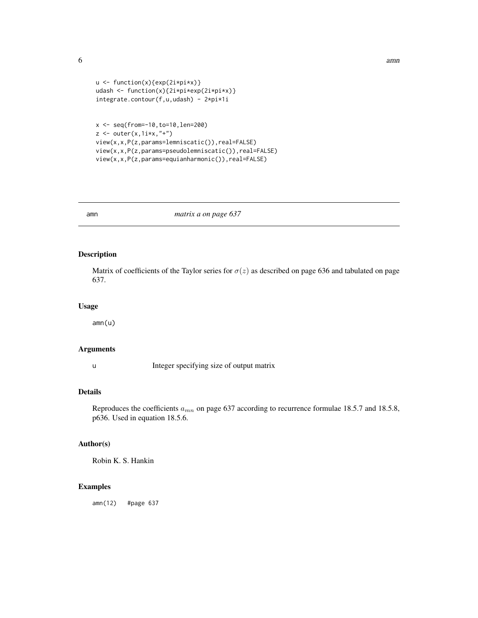```
\epsilon 6 amn
```

```
u <- function(x){exp(2i*pi*x)}
udash <- function(x){2i*pi*exp(2i*pi*x)}
integrate.contour(f,u,udash) - 2*pi*1i
```

```
x <- seq(from=-10,to=10,len=200)
z \leftarrow outer(x, 1i*x, "+")view(x,x,P(z,params=lemniscatic()),real=FALSE)
view(x,x,P(z,params=pseudolemniscatic()),real=FALSE)
view(x,x,P(z,params=equianharmonic()),real=FALSE)
```
amn *matrix a on page 637*

#### Description

Matrix of coefficients of the Taylor series for  $\sigma(z)$  as described on page 636 and tabulated on page 637.

#### Usage

amn(u)

# Arguments

u Integer specifying size of output matrix

# Details

Reproduces the coefficients  $a_{mn}$  on page 637 according to recurrence formulae 18.5.7 and 18.5.8, p636. Used in equation 18.5.6.

# Author(s)

Robin K. S. Hankin

# Examples

amn(12) #page 637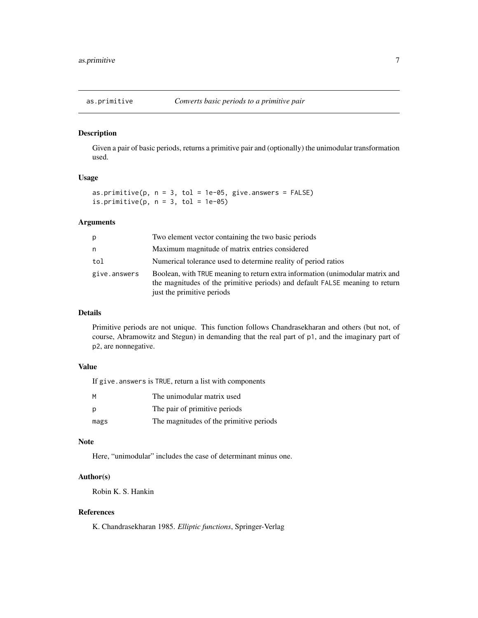<span id="page-6-1"></span><span id="page-6-0"></span>

Given a pair of basic periods, returns a primitive pair and (optionally) the unimodular transformation used.

# Usage

```
as.primitive(p, n = 3, tol = 1e-05, give.answers = FALSE)
is.primitive(p, n = 3, tol = 1e-05)
```
#### Arguments

| p            | Two element vector containing the two basic periods                                                                                                                                         |
|--------------|---------------------------------------------------------------------------------------------------------------------------------------------------------------------------------------------|
| n            | Maximum magnitude of matrix entries considered                                                                                                                                              |
| tol          | Numerical tolerance used to determine reality of period ratios                                                                                                                              |
| give.answers | Boolean, with TRUE meaning to return extra information (unimodular matrix and<br>the magnitudes of the primitive periods) and default FALSE meaning to return<br>just the primitive periods |

# Details

Primitive periods are not unique. This function follows Chandrasekharan and others (but not, of course, Abramowitz and Stegun) in demanding that the real part of p1, and the imaginary part of p2, are nonnegative.

#### Value

|      | If give. answers is TRUE, return a list with components |
|------|---------------------------------------------------------|
| M    | The unimodular matrix used                              |
| p    | The pair of primitive periods                           |
| mags | The magnitudes of the primitive periods                 |

#### Note

Here, "unimodular" includes the case of determinant minus one.

# Author(s)

Robin K. S. Hankin

# References

K. Chandrasekharan 1985. *Elliptic functions*, Springer-Verlag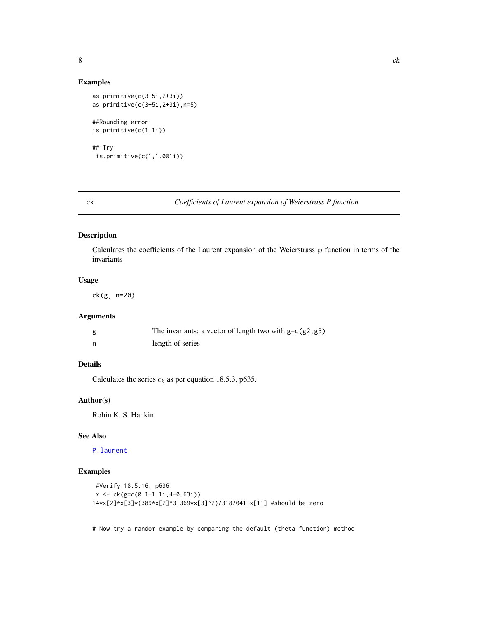# <span id="page-7-0"></span>Examples

```
as.primitive(c(3+5i,2+3i))
as.primitive(c(3+5i,2+3i),n=5)
##Rounding error:
is.primitive(c(1,1i))
## Try
is.primitive(c(1,1.001i))
```
# ck *Coefficients of Laurent expansion of Weierstrass P function*

#### Description

Calculates the coefficients of the Laurent expansion of the Weierstrass  $\wp$  function in terms of the invariants

# Usage

ck(g, n=20)

# Arguments

| The invariants: a vector of length two with $g=c(g_2, g_3)$ |
|-------------------------------------------------------------|
| length of series                                            |

# Details

Calculates the series  $c_k$  as per equation 18.5.3, p635.

# Author(s)

Robin K. S. Hankin

# See Also

[P.laurent](#page-35-1)

# Examples

```
#Verify 18.5.16, p636:
x <- ck(g=c(0.1+1.1i,4-0.63i))
14*x[2]*x[3]*(389*x[2]^3+369*x[3]^2)/3187041-x[11] #should be zero
```
# Now try a random example by comparing the default (theta function) method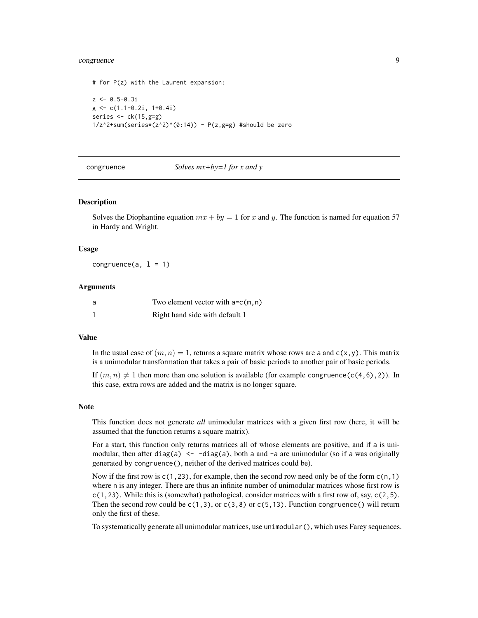# <span id="page-8-0"></span>congruence 9

```
# for P(z) with the Laurent expansion:
z \leftarrow 0.5 - 0.3ig \leftarrow c(1.1 - 0.2i, 1 + 0.4i)series <- ck(15,g=g)
1/z^2+sum(series*(z^2)^{(0:14)}) - P(z, g=g)#should be zero
```
#### congruence *Solves mx+by=1 for x and y*

#### Description

Solves the Diophantine equation  $mx + by = 1$  for x and y. The function is named for equation 57 in Hardy and Wright.

#### Usage

congruence $(a, 1 = 1)$ 

#### Arguments

| - a | Two element vector with $a=c(m, n)$ |
|-----|-------------------------------------|
|     | Right hand side with default 1      |

#### Value

In the usual case of  $(m, n) = 1$ , returns a square matrix whose rows are a and  $c(x, y)$ . This matrix is a unimodular transformation that takes a pair of basic periods to another pair of basic periods.

If  $(m, n) \neq 1$  then more than one solution is available (for example congruence(c(4,6),2)). In this case, extra rows are added and the matrix is no longer square.

#### Note

This function does not generate *all* unimodular matrices with a given first row (here, it will be assumed that the function returns a square matrix).

For a start, this function only returns matrices all of whose elements are positive, and if a is unimodular, then after diag(a)  $\le -$  -diag(a), both a and -a are unimodular (so if a was originally generated by congruence(), neither of the derived matrices could be).

Now if the first row is  $c(1,23)$ , for example, then the second row need only be of the form  $c(n,1)$ where n is any integer. There are thus an infinite number of unimodular matrices whose first row is  $c(1,23)$ . While this is (somewhat) pathological, consider matrices with a first row of, say,  $c(2,5)$ . Then the second row could be  $c(1,3)$ , or  $c(3,8)$  or  $c(5,13)$ . Function congruence() will return only the first of these.

To systematically generate all unimodular matrices, use unimodular(), which uses Farey sequences.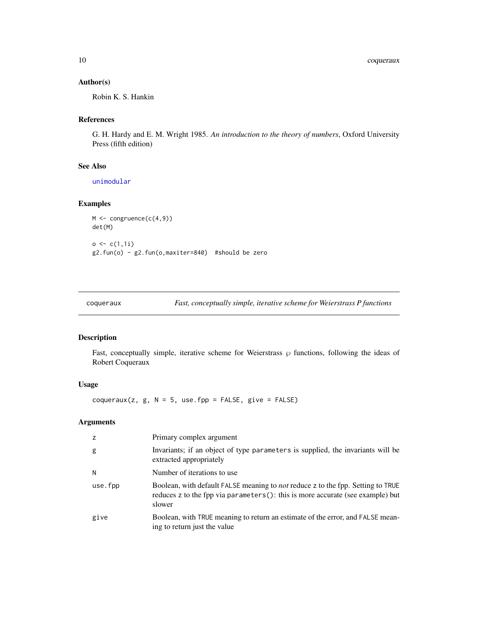<span id="page-9-0"></span>10 coqueraux

# Author(s)

Robin K. S. Hankin

#### References

G. H. Hardy and E. M. Wright 1985. *An introduction to the theory of numbers*, Oxford University Press (fifth edition)

# See Also

[unimodular](#page-46-1)

# Examples

```
M <- congruence(c(4,9))
det(M)
o \leftarrow c(1,1i)g2.fun(o) - g2.fun(o,maxiter=840) #should be zero
```

| coqueraux | Fast, conceptually simple, iterative scheme for Weierstrass P functions |  |  |
|-----------|-------------------------------------------------------------------------|--|--|
|           |                                                                         |  |  |

# Description

Fast, conceptually simple, iterative scheme for Weierstrass  $\wp$  functions, following the ideas of Robert Coqueraux

# Usage

 $cogueraux(z, g, N = 5, use.fpp = FALSE, give = FALSE)$ 

# Arguments

| z       | Primary complex argument                                                                                                                                                            |
|---------|-------------------------------------------------------------------------------------------------------------------------------------------------------------------------------------|
| g       | Invariants; if an object of type parameters is supplied, the invariants will be<br>extracted appropriately                                                                          |
| N       | Number of iterations to use                                                                                                                                                         |
| use.fpp | Boolean, with default FALSE meaning to <i>not</i> reduce z to the fpp. Setting to TRUE<br>reduces z to the fpp via parameters (): this is more accurate (see example) but<br>slower |
| give    | Boolean, with TRUE meaning to return an estimate of the error, and FALSE mean-<br>ing to return just the value                                                                      |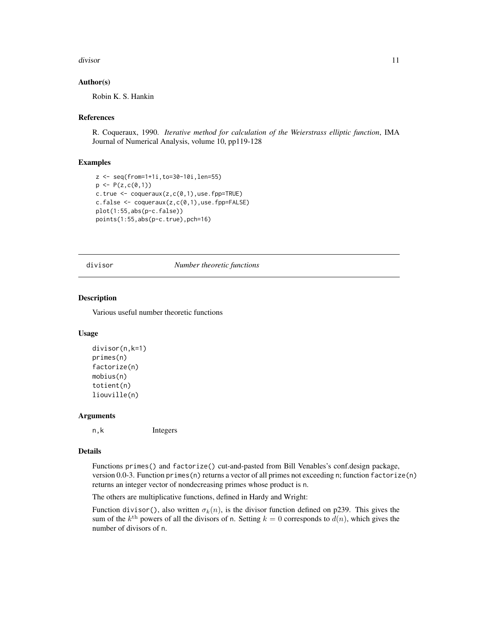#### <span id="page-10-0"></span>divisor that the contract of the contract of the contract of the contract of the contract of the contract of the contract of the contract of the contract of the contract of the contract of the contract of the contract of t

#### Author(s)

Robin K. S. Hankin

#### References

R. Coqueraux, 1990. *Iterative method for calculation of the Weierstrass elliptic function*, IMA Journal of Numerical Analysis, volume 10, pp119-128

#### Examples

```
z <- seq(from=1+1i,to=30-10i,len=55)
p \leftarrow P(z, c(0,1))c.true \leq coqueraux(z,c(0,1),use.fpp=TRUE)
c.false \leq coqueraux(z,c(0,1),use.fpp=FALSE)
plot(1:55,abs(p-c.false))
points(1:55,abs(p-c.true),pch=16)
```
#### divisor *Number theoretic functions*

#### Description

Various useful number theoretic functions

#### Usage

```
divisor(n,k=1)
primes(n)
factorize(n)
mobius(n)
totient(n)
liouville(n)
```
#### Arguments

n,k Integers

#### Details

Functions primes() and factorize() cut-and-pasted from Bill Venables's conf.design package, version 0.0-3. Function primes(n) returns a vector of all primes not exceeding n; function factorize(n) returns an integer vector of nondecreasing primes whose product is n.

The others are multiplicative functions, defined in Hardy and Wright:

Function divisor(), also written  $\sigma_k(n)$ , is the divisor function defined on p239. This gives the sum of the  $k^{\text{th}}$  powers of all the divisors of n. Setting  $k = 0$  corresponds to  $d(n)$ , which gives the number of divisors of n.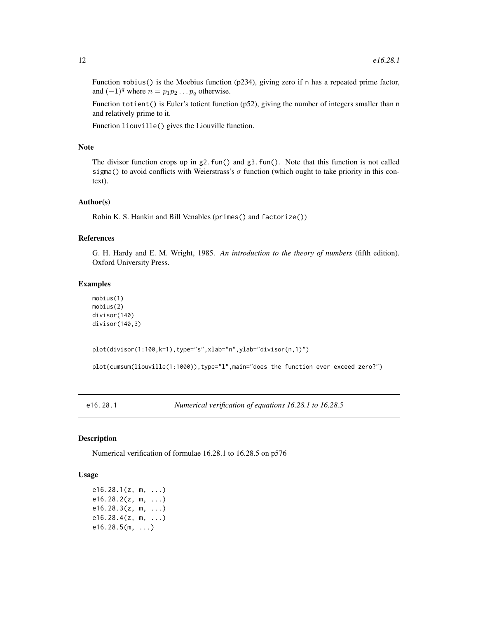Function mobius() is the Moebius function (p234), giving zero if n has a repeated prime factor, and  $(-1)^q$  where  $n = p_1p_2 \dots p_q$  otherwise.

Function totient() is Euler's totient function (p52), giving the number of integers smaller than n and relatively prime to it.

Function liouville() gives the Liouville function.

# Note

The divisor function crops up in  $g2$ . fun() and  $g3$ . fun(). Note that this function is not called sigma() to avoid conflicts with Weierstrass's  $\sigma$  function (which ought to take priority in this context).

#### Author(s)

Robin K. S. Hankin and Bill Venables (primes() and factorize())

#### References

G. H. Hardy and E. M. Wright, 1985. *An introduction to the theory of numbers* (fifth edition). Oxford University Press.

#### Examples

```
mobius(1)
mobius(2)
divisor(140)
divisor(140,3)
```

```
plot(divisor(1:100,k=1),type="s",xlab="n",ylab="divisor(n,1)")
```
plot(cumsum(liouville(1:1000)),type="l",main="does the function ever exceed zero?")

e16.28.1 *Numerical verification of equations 16.28.1 to 16.28.5*

#### Description

Numerical verification of formulae 16.28.1 to 16.28.5 on p576

#### Usage

e16.28.1(z, m, ...) e16.28.2(z, m, ...) e16.28.3(z, m, ...) e16.28.4(z, m, ...)  $e16.28.5(m, ...)$ 

<span id="page-11-0"></span>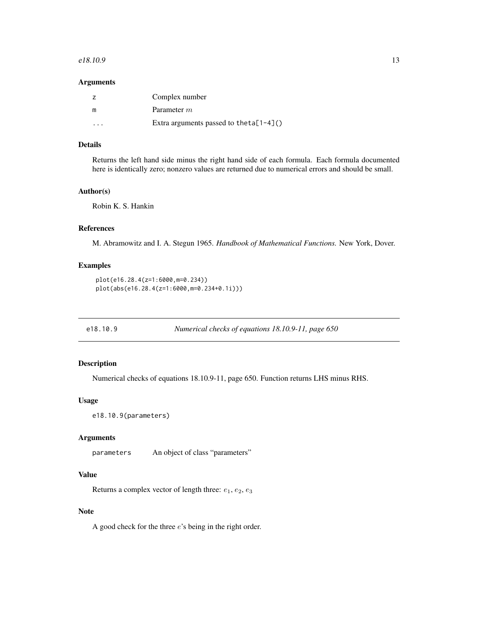#### <span id="page-12-0"></span> $e18.10.9$  13

#### Arguments

|   | Complex number                              |
|---|---------------------------------------------|
| m | Parameter m                                 |
| . | Extra arguments passed to the ta $[1-4]($ ) |

# Details

Returns the left hand side minus the right hand side of each formula. Each formula documented here is identically zero; nonzero values are returned due to numerical errors and should be small.

#### Author(s)

Robin K. S. Hankin

# References

M. Abramowitz and I. A. Stegun 1965. *Handbook of Mathematical Functions.* New York, Dover.

# Examples

```
plot(e16.28.4(z=1:6000,m=0.234))
plot(abs(e16.28.4(z=1:6000,m=0.234+0.1i)))
```
e18.10.9 *Numerical checks of equations 18.10.9-11, page 650*

# **Description**

Numerical checks of equations 18.10.9-11, page 650. Function returns LHS minus RHS.

# Usage

```
e18.10.9(parameters)
```
# Arguments

parameters An object of class "parameters"

# Value

Returns a complex vector of length three:  $e_1, e_2, e_3$ 

# Note

A good check for the three  $e$ 's being in the right order.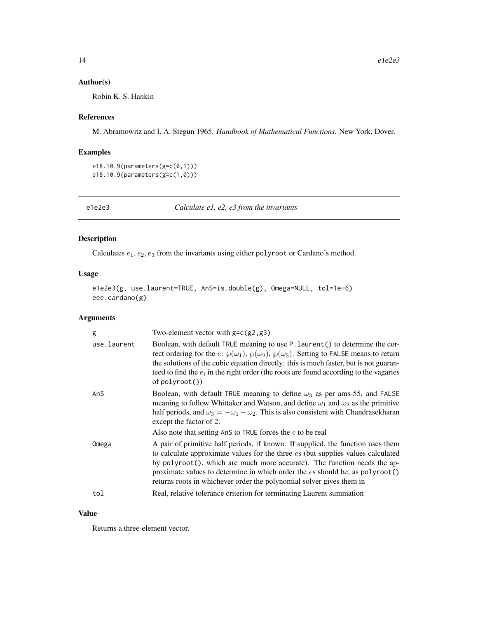#### <span id="page-13-0"></span>Author(s)

Robin K. S. Hankin

# References

M. Abramowitz and I. A. Stegun 1965. *Handbook of Mathematical Functions.* New York, Dover.

#### Examples

```
e18.10.9(parameters(g=c(0,1)))
e18.10.9(parameters(g=c(1,0)))
```
e1e2e3 *Calculate e1, e2, e3 from the invariants*

# Description

Calculates  $e_1, e_2, e_3$  from the invariants using either polyroot or Cardano's method.

#### Usage

```
e1e2e3(g, use.laurent=TRUE, AnS=is.double(g), Omega=NULL, tol=1e-6)
eee.cardano(g)
```
# Arguments

| g           | Two-element vector with $g=c(g2, g3)$                                                                                                                                                                                                                                                                                                                                                                       |
|-------------|-------------------------------------------------------------------------------------------------------------------------------------------------------------------------------------------------------------------------------------------------------------------------------------------------------------------------------------------------------------------------------------------------------------|
| use.laurent | Boolean, with default TRUE meaning to use P. laurent () to determine the cor-<br>rect ordering for the e: $\wp(\omega_1)$ , $\wp(\omega_2)$ , $\wp(\omega_3)$ . Setting to FALSE means to return<br>the solutions of the cubic equation directly: this is much faster, but is not guaran-<br>teed to find the $e_i$ in the right order (the roots are found according to the vagaries<br>$of$ polyroot $()$ |
| AnS         | Boolean, with default TRUE meaning to define $\omega_3$ as per ams-55, and FALSE<br>meaning to follow Whittaker and Watson, and define $\omega_1$ and $\omega_2$ as the primitive<br>half periods, and $\omega_3 = -\omega_1 - \omega_2$ . This is also consistent with Chandrasekharan<br>except the factor of 2.                                                                                          |
|             | Also note that setting AnS to TRUE forces the e to be real                                                                                                                                                                                                                                                                                                                                                  |
| Omega       | A pair of primitive half periods, if known. If supplied, the function uses them<br>to calculate approximate values for the three es (but supplies values calculated<br>by polyroot(), which are much more accurate). The function needs the ap-<br>proximate values to determine in which order the es should be, as polyroot()<br>returns roots in whichever order the polynomial solver gives them in     |
| tol         | Real, relative tolerance criterion for terminating Laurent summation                                                                                                                                                                                                                                                                                                                                        |
|             |                                                                                                                                                                                                                                                                                                                                                                                                             |

#### Value

Returns a three-element vector.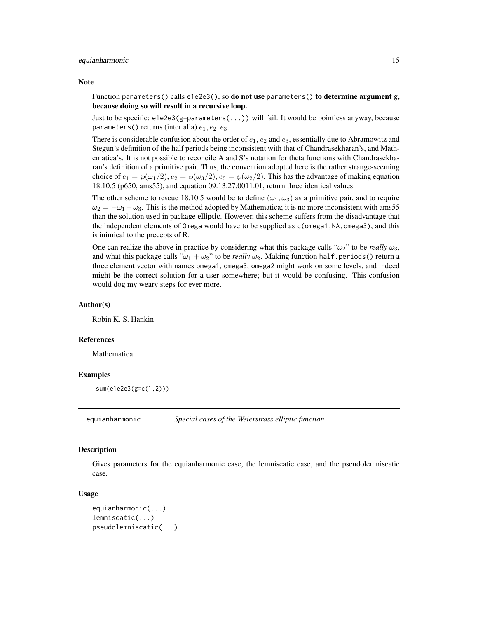#### <span id="page-14-0"></span>equianharmonic 15

#### **Note**

Function parameters() calls e1e2e3(), so **do not use** parameters() to determine argument g, because doing so will result in a recursive loop.

Just to be specific: e1e2e3(g=parameters(...)) will fail. It would be pointless anyway, because parameters() returns (inter alia)  $e_1, e_2, e_3$ .

There is considerable confusion about the order of  $e_1, e_2$  and  $e_3$ , essentially due to Abramowitz and Stegun's definition of the half periods being inconsistent with that of Chandrasekharan's, and Mathematica's. It is not possible to reconcile A and S's notation for theta functions with Chandrasekharan's definition of a primitive pair. Thus, the convention adopted here is the rather strange-seeming choice of  $e_1 = \wp(\omega_1/2), e_2 = \wp(\omega_3/2), e_3 = \wp(\omega_2/2)$ . This has the advantage of making equation 18.10.5 (p650, ams55), and equation 09.13.27.0011.01, return three identical values.

The other scheme to rescue 18.10.5 would be to define  $(\omega_1, \omega_3)$  as a primitive pair, and to require  $\omega_2 = -\omega_1 - \omega_3$ . This is the method adopted by Mathematica; it is no more inconsistent with ams55 than the solution used in package elliptic. However, this scheme suffers from the disadvantage that the independent elements of Omega would have to be supplied as  $c$  (omega1, NA, omega3), and this is inimical to the precepts of R.

One can realize the above in practice by considering what this package calls " $\omega_2$ " to be *really*  $\omega_3$ , and what this package calls " $\omega_1 + \omega_2$ " to be *really*  $\omega_2$ . Making function half.periods() return a three element vector with names omega1, omega3, omega2 might work on some levels, and indeed might be the correct solution for a user somewhere; but it would be confusing. This confusion would dog my weary steps for ever more.

#### Author(s)

Robin K. S. Hankin

#### References

Mathematica

#### Examples

sum(e1e2e3(g=c(1,2)))

equianharmonic *Special cases of the Weierstrass elliptic function*

#### **Description**

Gives parameters for the equianharmonic case, the lemniscatic case, and the pseudolemniscatic case.

#### Usage

```
equianharmonic(...)
lemniscatic(...)
pseudolemniscatic(...)
```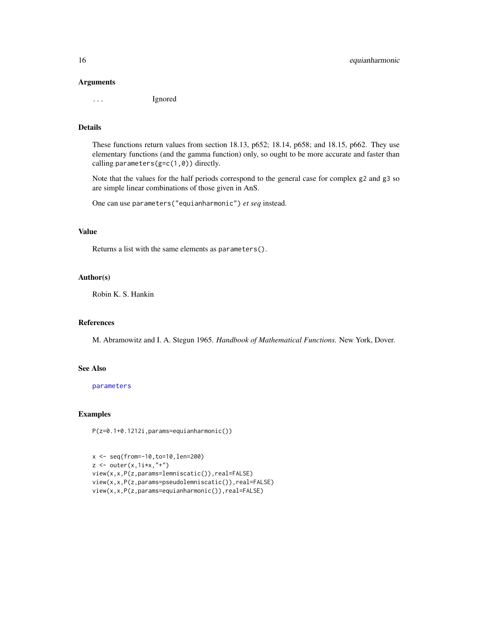#### <span id="page-15-0"></span>Arguments

... Ignored

#### Details

These functions return values from section 18.13, p652; 18.14, p658; and 18.15, p662. They use elementary functions (and the gamma function) only, so ought to be more accurate and faster than calling parameters( $g=c(1,0)$ ) directly.

Note that the values for the half periods correspond to the general case for complex g2 and g3 so are simple linear combinations of those given in AnS.

One can use parameters("equianharmonic") *et seq* instead.

#### Value

Returns a list with the same elements as parameters().

#### Author(s)

Robin K. S. Hankin

#### References

M. Abramowitz and I. A. Stegun 1965. *Handbook of Mathematical Functions.* New York, Dover.

#### See Also

[parameters](#page-36-1)

#### Examples

P(z=0.1+0.1212i,params=equianharmonic())

```
x <- seq(from=-10,to=10,len=200)
z \leftarrow outer(x, 1ix, " +")view(x,x,P(z,params=lemniscatic()),real=FALSE)
view(x,x,P(z,params=pseudolemniscatic()),real=FALSE)
view(x,x,P(z,params=equianharmonic()),real=FALSE)
```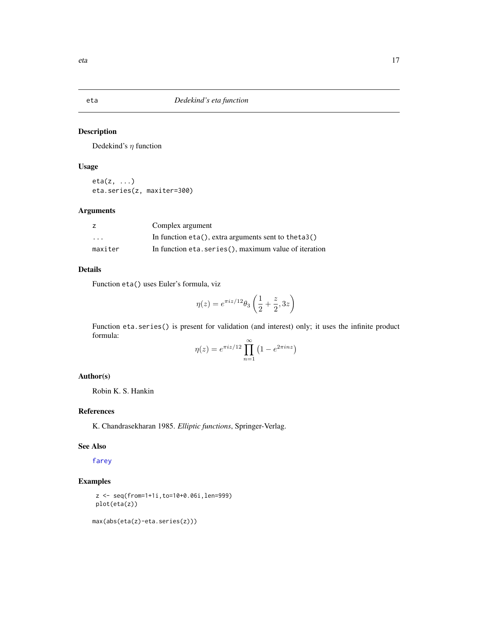<span id="page-16-0"></span>

Dedekind's  $\eta$  function

# Usage

eta(z, ...) eta.series(z, maxiter=300)

# Arguments

|                         | Complex argument                                         |
|-------------------------|----------------------------------------------------------|
| $\cdot$ $\cdot$ $\cdot$ | In function $eta()$ , extra arguments sent to the ta 3() |
| maxiter                 | In function eta. series (), maximum value of iteration   |

# Details

Function eta() uses Euler's formula, viz

$$
\eta(z)=e^{\pi i z/12}\theta_3\left(\frac{1}{2}+\frac{z}{2},3z\right)
$$

Function eta.series() is present for validation (and interest) only; it uses the infinite product formula:

$$
\eta(z) = e^{\pi i z/12} \prod_{n=1}^{\infty} \left( 1 - e^{2\pi i n z} \right)
$$

# Author(s)

Robin K. S. Hankin

# References

K. Chandrasekharan 1985. *Elliptic functions*, Springer-Verlag.

# See Also

[farey](#page-17-1)

# Examples

```
z <- seq(from=1+1i,to=10+0.06i,len=999)
plot(eta(z))
```

```
max(abs(eta(z)-eta.series(z)))
```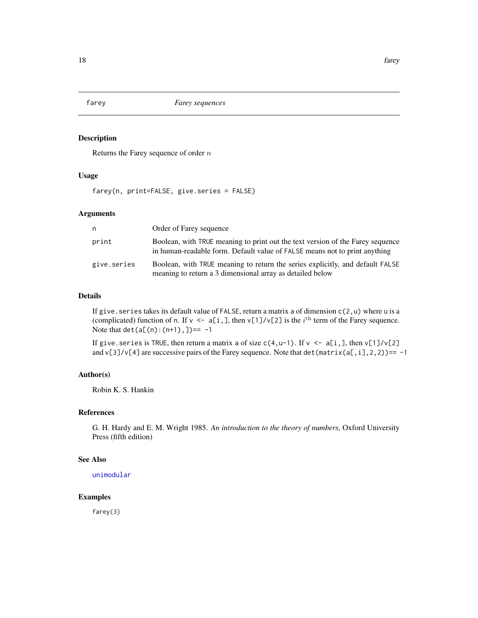<span id="page-17-1"></span><span id="page-17-0"></span>

Returns the Farey sequence of order  $n$ 

# Usage

farey(n, print=FALSE, give.series = FALSE)

#### Arguments

| n           | Order of Farey sequence                                                                                                                                      |
|-------------|--------------------------------------------------------------------------------------------------------------------------------------------------------------|
| print       | Boolean, with TRUE meaning to print out the text version of the Farey sequence<br>in human-readable form. Default value of FALSE means not to print anything |
| give.series | Boolean, with TRUE meaning to return the series explicitly, and default FALSE<br>meaning to return a 3 dimensional array as detailed below                   |

# Details

If give. series takes its default value of FALSE, return a matrix a of dimension  $c(2, u)$  where u is a (complicated) function of n. If  $v \leq a[i,],$  then  $v[1]/v[2]$  is the  $i^{\text{th}}$  term of the Farey sequence. Note that  $det(a[(n):(n+1),]) == -1$ 

If give. series is TRUE, then return a matrix a of size  $c(4, u-1)$ . If  $v \le a[i, j]$ , then  $v[1]/v[2]$ and  $v[3]/v[4]$  are successive pairs of the Farey sequence. Note that det (matrix(a[,i],2,2))== -1

#### Author(s)

Robin K. S. Hankin

# References

G. H. Hardy and E. M. Wright 1985. *An introduction to the theory of numbers*, Oxford University Press (fifth edition)

# See Also

[unimodular](#page-46-1)

# Examples

farey(3)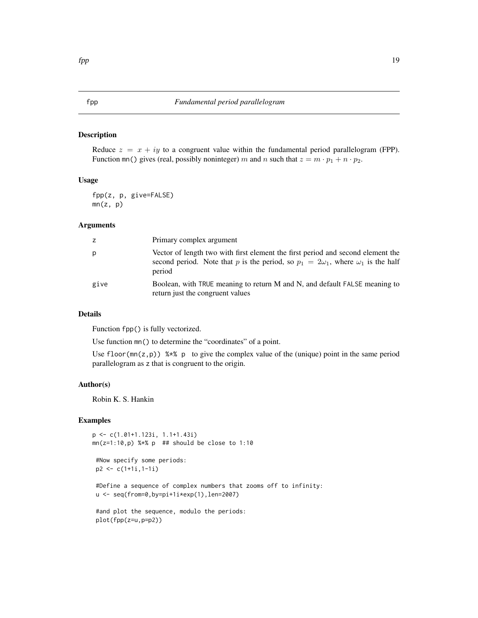<span id="page-18-0"></span>Reduce  $z = x + iy$  to a congruent value within the fundamental period parallelogram (FPP). Function  $mn()$  gives (real, possibly noninteger) m and n such that  $z = m \cdot p_1 + n \cdot p_2$ .

# Usage

fpp(z, p, give=FALSE)  $mn(z, p)$ 

#### Arguments

| z    | Primary complex argument                                                                                                                                                                   |
|------|--------------------------------------------------------------------------------------------------------------------------------------------------------------------------------------------|
| p    | Vector of length two with first element the first period and second element the<br>second period. Note that p is the period, so $p_1 = 2\omega_1$ , where $\omega_1$ is the half<br>period |
| give | Boolean, with TRUE meaning to return M and N, and default FALSE meaning to<br>return just the congruent values                                                                             |

# Details

Function fpp() is fully vectorized.

Use function mn() to determine the "coordinates" of a point.

Use floor( $mn(z,p)$ ) %\*% p to give the complex value of the (unique) point in the same period parallelogram as z that is congruent to the origin.

# Author(s)

Robin K. S. Hankin

# Examples

```
p <- c(1.01+1.123i, 1.1+1.43i)
mn(z=1:10,p) %*% p ## should be close to 1:10
```

```
#Now specify some periods:
p2 \leq c(1+1i, 1-1i)
```
#Define a sequence of complex numbers that zooms off to infinity: u <- seq(from=0,by=pi+1i\*exp(1),len=2007)

```
#and plot the sequence, modulo the periods:
plot(fpp(z=u,p=p2))
```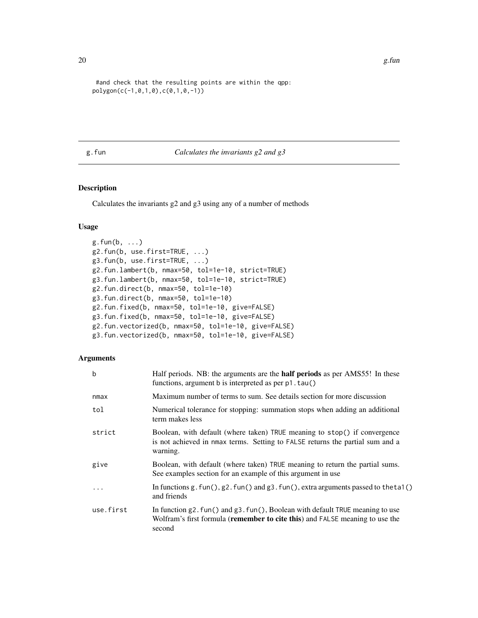```
#and check that the resulting points are within the qpp:
polygon(c(-1,0,1,0),c(0,1,0,-1))
```
# g.fun *Calculates the invariants g2 and g3*

# Description

Calculates the invariants g2 and g3 using any of a number of methods

#### Usage

```
g.fun(b, \ldots)g2.fun(b, use.first=TRUE, ...)
g3.fun(b, use.first=TRUE, ...)
g2.fun.lambert(b, nmax=50, tol=1e-10, strict=TRUE)
g3.fun.lambert(b, nmax=50, tol=1e-10, strict=TRUE)
g2.fun.direct(b, nmax=50, tol=1e-10)
g3.fun.direct(b, nmax=50, tol=1e-10)
g2.fun.fixed(b, nmax=50, tol=1e-10, give=FALSE)
g3.fun.fixed(b, nmax=50, tol=1e-10, give=FALSE)
g2.fun.vectorized(b, nmax=50, tol=1e-10, give=FALSE)
g3.fun.vectorized(b, nmax=50, tol=1e-10, give=FALSE)
```
#### Arguments

| $\mathbf b$ | Half periods. NB: the arguments are the <b>half periods</b> as per AMS55! In these<br>functions, argument b is interpreted as per p1.tau()                                    |
|-------------|-------------------------------------------------------------------------------------------------------------------------------------------------------------------------------|
| nmax        | Maximum number of terms to sum. See details section for more discussion                                                                                                       |
| tol         | Numerical tolerance for stopping: summation stops when adding an additional<br>term makes less                                                                                |
| strict      | Boolean, with default (where taken) TRUE meaning to stop() if convergence<br>is not achieved in nmax terms. Setting to FALSE returns the partial sum and a<br>warning.        |
| give        | Boolean, with default (where taken) TRUE meaning to return the partial sums.<br>See examples section for an example of this argument in use                                   |
| $\cdot$     | In functions $g$ . fun(), $g$ 2. fun() and $g$ 3. fun(), extra arguments passed to the ta1()<br>and friends                                                                   |
| use.first   | In function $g2$ . fun() and $g3$ . fun(), Boolean with default TRUE meaning to use<br>Wolfram's first formula (remember to cite this) and FALSE meaning to use the<br>second |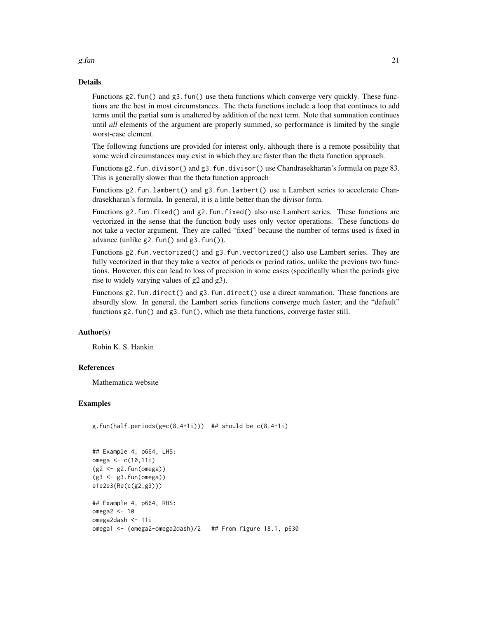# Details

Functions g2.fun() and g3.fun() use theta functions which converge very quickly. These functions are the best in most circumstances. The theta functions include a loop that continues to add terms until the partial sum is unaltered by addition of the next term. Note that summation continues until *all* elements of the argument are properly summed, so performance is limited by the single worst-case element.

The following functions are provided for interest only, although there is a remote possibility that some weird circumstances may exist in which they are faster than the theta function approach.

Functions g2.fun.divisor() and g3.fun.divisor() use Chandrasekharan's formula on page 83. This is generally slower than the theta function approach

Functions g2.fun.lambert() and g3.fun.lambert() use a Lambert series to accelerate Chandrasekharan's formula. In general, it is a little better than the divisor form.

Functions g2.fun.fixed() and g2.fun.fixed() also use Lambert series. These functions are vectorized in the sense that the function body uses only vector operations. These functions do not take a vector argument. They are called "fixed" because the number of terms used is fixed in advance (unlike g2.fun() and g3.fun()).

Functions g2.fun.vectorized() and g3.fun.vectorized() also use Lambert series. They are fully vectorized in that they take a vector of periods or period ratios, unlike the previous two functions. However, this can lead to loss of precision in some cases (specifically when the periods give rise to widely varying values of g2 and g3).

Functions g2.fun.direct() and g3.fun.direct() use a direct summation. These functions are absurdly slow. In general, the Lambert series functions converge much faster; and the "default" functions g2.fun() and g3.fun(), which use theta functions, converge faster still.

## Author(s)

Robin K. S. Hankin

#### References

Mathematica website

#### Examples

```
g.fun(half.periods(g=c(8,4+1i))) ## should be c(8,4+1i)
```

```
## Example 4, p664, LHS:
omega <- c(10,11i)
(g2 \le -g2.fun(omega))(g3 <- g3.fun(omega))
e1e2e3(Re(c(g2,g3)))
## Example 4, p664, RHS:
omega2 <- 10
omega2dash <- 11i
omega1 <- (omega2-omega2dash)/2 ## From figure 18.1, p630
```
g.fun  $\qquad \qquad \qquad 21$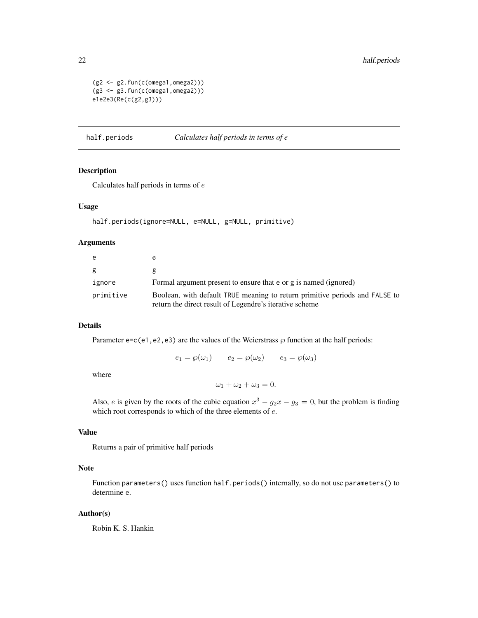```
(g2 \leftarrow g2.\text{fun}(c(\text{omega1},\text{omega2}))(g3 <- g3.fun(c(omega1,omega2)))
e1e2e3(Re(c(g2,g3)))
```
half.periods *Calculates half periods in terms of e*

# Description

Calculates half periods in terms of e

#### Usage

```
half.periods(ignore=NULL, e=NULL, g=NULL, primitive)
```
#### Arguments

| e         |                                                                                                                                        |
|-----------|----------------------------------------------------------------------------------------------------------------------------------------|
| g         |                                                                                                                                        |
| ignore    | Formal argument present to ensure that e or g is named (ignored)                                                                       |
| primitive | Boolean, with default TRUE meaning to return primitive periods and FALSE to<br>return the direct result of Legendre's iterative scheme |

#### Details

Parameter e=c(e1,e2,e3) are the values of the Weierstrass  $\wp$  function at the half periods:

 $e_1 = \wp(\omega_1)$   $e_2 = \wp(\omega_2)$   $e_3 = \wp(\omega_3)$ 

where

 $\omega_1 + \omega_2 + \omega_3 = 0.$ 

Also, *e* is given by the roots of the cubic equation  $x^3 - g_2x - g_3 = 0$ , but the problem is finding which root corresponds to which of the three elements of  $e$ .

#### Value

Returns a pair of primitive half periods

# Note

Function parameters() uses function half.periods() internally, so do not use parameters() to determine e.

#### Author(s)

Robin K. S. Hankin

<span id="page-21-0"></span>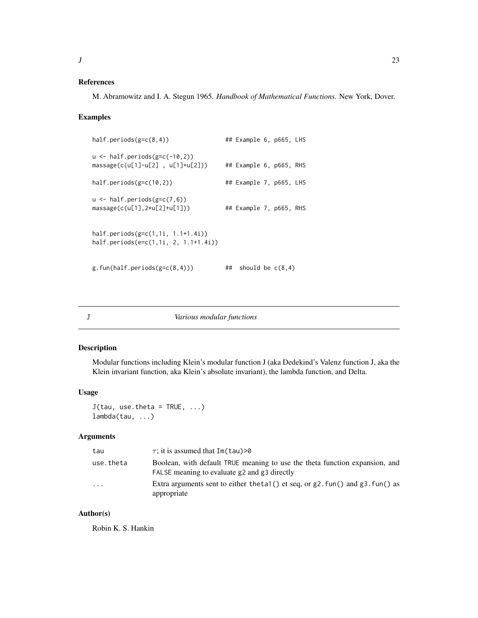#### <span id="page-22-0"></span>References

M. Abramowitz and I. A. Stegun 1965. *Handbook of Mathematical Functions.* New York, Dover.

#### Examples

```
half.periods(g=c(8,4)) # Example 6, p665, LHS
u <- half.periods(g=c(-10,2))
massage(c(u[1]-u[2] , u[1]+u[2])) ## Example 6, p665, RHS
half.periods(g=c(10,2)) ## Example 7, p665, LHS
u \leftarrow \text{half.periods}(g=c(7,6))massage(c(u[1],2*u[2]+u[1])) ## Example 7, p665, RHS
half.periods(g=c(1,1i, 1.1+1.4i))
half.periods(e=c(1,1i, 2, 1.1+1.4i))
g.fun(half.periods(g=c(8,4))) \qquad \qquad \text{#} should be c(8,4)
```
#### Description

Modular functions including Klein's modular function J (aka Dedekind's Valenz function J, aka the Klein invariant function, aka Klein's absolute invariant), the lambda function, and Delta.

#### Usage

 $J(tau, use. theta = TRUE, ...)$ lambda(tau, ...)

#### Arguments

| tau       | $\tau$ ; it is assumed that Im(tau)>0                                                                                       |
|-----------|-----------------------------------------------------------------------------------------------------------------------------|
| use.theta | Boolean, with default TRUE meaning to use the theta function expansion, and<br>FALSE meaning to evaluate g2 and g3 directly |
| $\cdots$  | Extra arguments sent to either the tal () et seq, or $g2$ . fun() and $g3$ . fun() as<br>appropriate                        |

#### Author(s)

Robin K. S. Hankin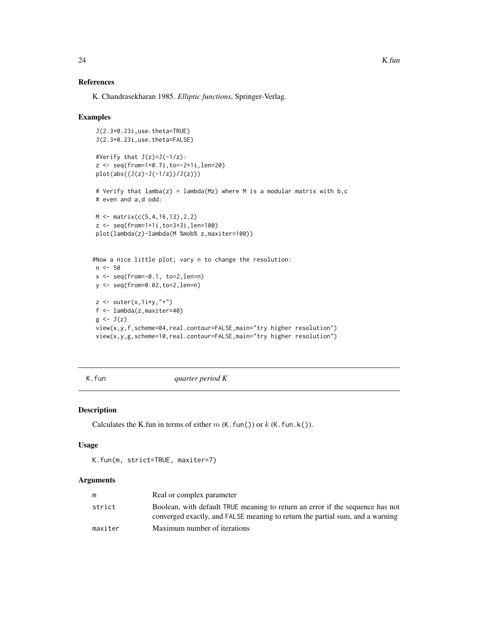# <span id="page-23-0"></span>References

K. Chandrasekharan 1985. *Elliptic functions*, Springer-Verlag.

#### Examples

```
J(2.3+0.23i,use.theta=TRUE)
J(2.3+0.23i,use.theta=FALSE)
#Verify that J(z)=J(-1/z):
z <- seq(from=1+0.7i,to=-2+1i,len=20)
plot(abs((J(z)-J(-1/z))/J(z)))# Verify that lamba(z) = lambda(Mz) where M is a modular matrix with b,c
# even and a,d odd:
M <- matrix(c(5,4,16,13),2,2)
z <- seq(from=1+1i,to=3+3i,len=100)
plot(lambda(z)-lambda(M %mob% z,maxiter=100))
#Now a nice little plot; vary n to change the resolution:
n < -50x \le - seq(from=-0.1, to=2, len=n)
y <- seq(from=0.02,to=2,len=n)
z \leftarrow outer(x, 1i*y, "+")f <- lambda(z,maxiter=40)
g \leftarrow J(z)view(x,y,f,scheme=04,real.contour=FALSE,main="try higher resolution")
view(x,y,g,scheme=10,real.contour=FALSE,main="try higher resolution")
```
<span id="page-23-1"></span>

K.fun *quarter period K*

#### Description

Calculates the K.fun in terms of either  $m$  (K.fun()) or  $k$  (K.fun.k()).

#### Usage

```
K.fun(m, strict=TRUE, maxiter=7)
```
# Arguments

|         | Real or complex parameter                                                     |
|---------|-------------------------------------------------------------------------------|
| strict  | Boolean, with default TRUE meaning to return an error if the sequence has not |
|         | converged exactly, and FALSE meaning to return the partial sum, and a warning |
| maxiter | Maximum number of iterations                                                  |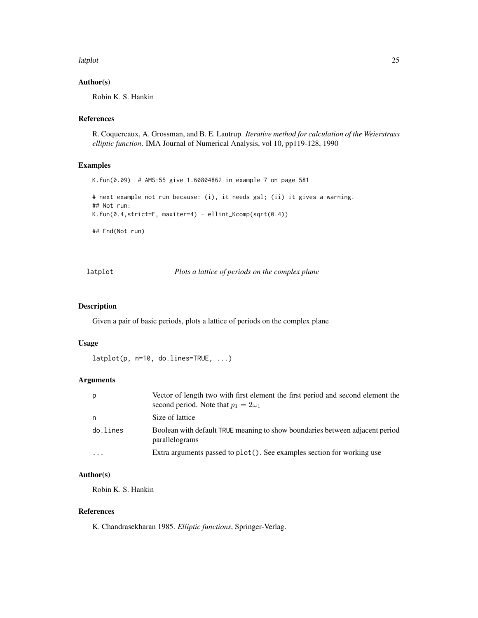<span id="page-24-0"></span>latplot 25

# Author(s)

Robin K. S. Hankin

#### References

R. Coquereaux, A. Grossman, and B. E. Lautrup. *Iterative method for calculation of the Weierstrass elliptic function*. IMA Journal of Numerical Analysis, vol 10, pp119-128, 1990

#### Examples

K.fun(0.09) # AMS-55 give 1.60804862 in example 7 on page 581 # next example not run because: (i), it needs gsl; (ii) it gives a warning. ## Not run: K.fun(0.4,strict=F, maxiter=4) - ellint\_Kcomp(sqrt(0.4)) ## End(Not run)

latplot *Plots a lattice of periods on the complex plane*

#### Description

Given a pair of basic periods, plots a lattice of periods on the complex plane

#### Usage

```
latplot(p, n=10, do.lines=TRUE, ...)
```
#### Arguments

| p        | Vector of length two with first element the first period and second element the<br>second period. Note that $p_1 = 2\omega_1$ |
|----------|-------------------------------------------------------------------------------------------------------------------------------|
| n        | Size of lattice                                                                                                               |
| do.lines | Boolean with default TRUE meaning to show boundaries between adjacent period<br>parallelograms                                |
| $\cdots$ | Extra arguments passed to plot(). See examples section for working use                                                        |

# Author(s)

Robin K. S. Hankin

#### References

K. Chandrasekharan 1985. *Elliptic functions*, Springer-Verlag.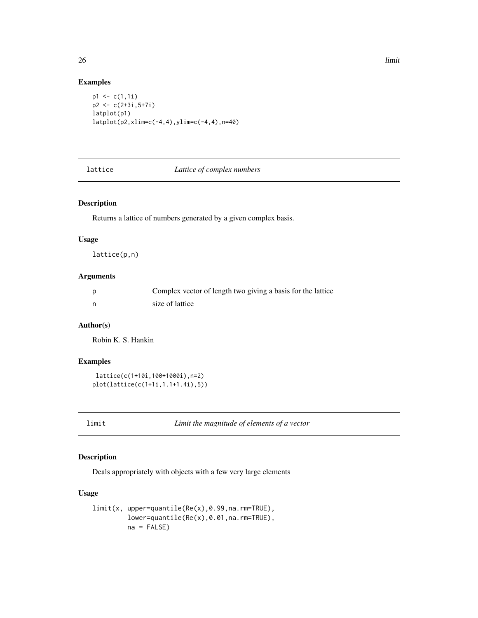<span id="page-25-0"></span>26 **limit** and the set of the set of the set of the set of the set of the set of the set of the set of the set of the set of the set of the set of the set of the set of the set of the set of the set of the set of the set o

# Examples

```
p1 \leftarrow c(1,1i)p2 < -c(2+3i, 5+7i)latplot(p1)
latplot(p2,xlim=c(-4,4),ylim=c(-4,4),n=40)
```
# lattice *Lattice of complex numbers*

# Description

Returns a lattice of numbers generated by a given complex basis.

#### Usage

```
lattice(p,n)
```
# Arguments

| Complex vector of length two giving a basis for the lattice |
|-------------------------------------------------------------|
| size of lattice                                             |

# Author(s)

Robin K. S. Hankin

#### Examples

```
lattice(c(1+10i,100+1000i),n=2)
plot(lattice(c(1+1i,1.1+1.4i),5))
```
limit *Limit the magnitude of elements of a vector*

# Description

Deals appropriately with objects with a few very large elements

# Usage

```
limit(x, upper=quantile(Re(x),0.99,na.rm=TRUE),
        lower=quantile(Re(x),0.01,na.rm=TRUE),
        na = FALSE)
```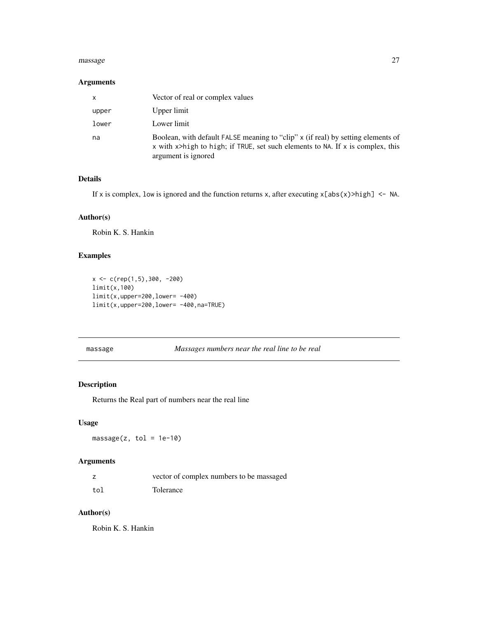#### <span id="page-26-0"></span>massage 27

# Arguments

| x     | Vector of real or complex values                                                                                                                                                          |
|-------|-------------------------------------------------------------------------------------------------------------------------------------------------------------------------------------------|
| upper | Upper limit                                                                                                                                                                               |
| lower | Lower limit                                                                                                                                                                               |
| na    | Boolean, with default FALSE meaning to "clip" x (if real) by setting elements of<br>x with x>high to high; if TRUE, set such elements to NA. If x is complex, this<br>argument is ignored |

#### Details

If x is complex, low is ignored and the function returns x, after executing  $x[abs(x)>high]$  <- NA.

# Author(s)

Robin K. S. Hankin

# Examples

```
x <- c(rep(1,5),300, -200)
limit(x,100)
limit(x,upper=200,lower= -400)
limit(x,upper=200,lower= -400,na=TRUE)
```
massage *Massages numbers near the real line to be real*

# Description

Returns the Real part of numbers near the real line

# Usage

 $massage(z, tol = 1e-10)$ 

# Arguments

|     | vector of complex numbers to be massaged |
|-----|------------------------------------------|
| tol | Tolerance                                |

# Author(s)

Robin K. S. Hankin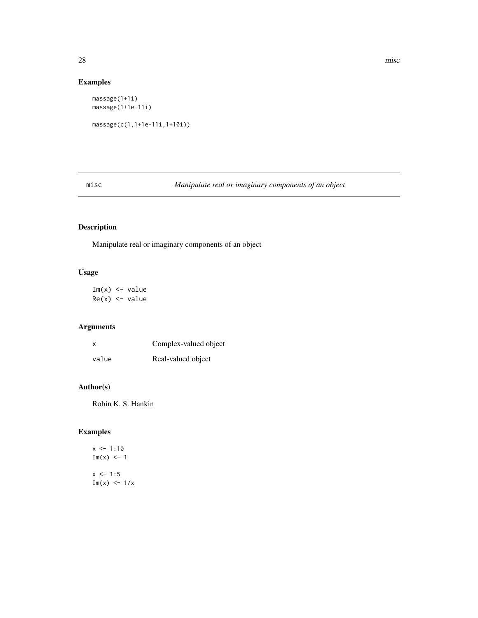# Examples

```
massage(1+1i)
massage(1+1e-11i)
massage(c(1,1+1e-11i,1+10i))
```
misc *Manipulate real or imaginary components of an object*

# Description

Manipulate real or imaginary components of an object

# Usage

 $Im(x)$  <- value  $Re(x)$  <- value

# Arguments

| X     | Complex-valued object |
|-------|-----------------------|
| value | Real-valued object    |

# Author(s)

Robin K. S. Hankin

# Examples

 $x \le -1:10$  $Im(x) < -1$  $x \le -1:5$  $Im(x) \leftarrow \frac{1}{x}$ 

<span id="page-27-0"></span>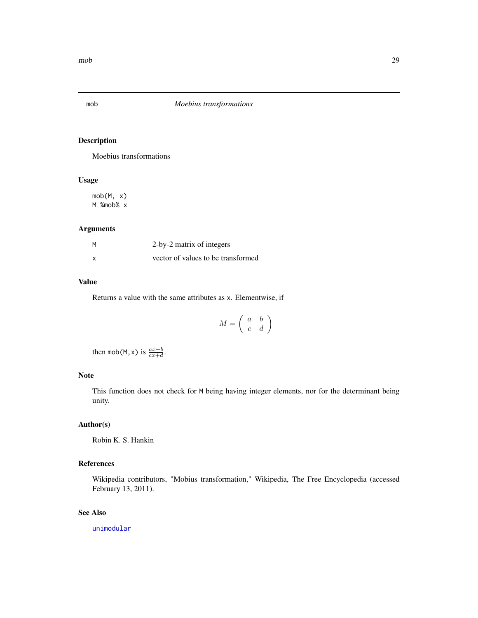<span id="page-28-0"></span>

Moebius transformations

# Usage

mob(M, x) M %mob% x

# Arguments

| М | 2-by-2 matrix of integers          |
|---|------------------------------------|
|   | vector of values to be transformed |

#### Value

Returns a value with the same attributes as x. Elementwise, if

$$
M = \left(\begin{array}{cc} a & b \\ c & d \end{array}\right)
$$

then mob(M, x) is  $\frac{ax+b}{cx+d}$ .

# Note

This function does not check for M being having integer elements, nor for the determinant being unity.

# Author(s)

Robin K. S. Hankin

# References

Wikipedia contributors, "Mobius transformation," Wikipedia, The Free Encyclopedia (accessed February 13, 2011).

# See Also

[unimodular](#page-46-1)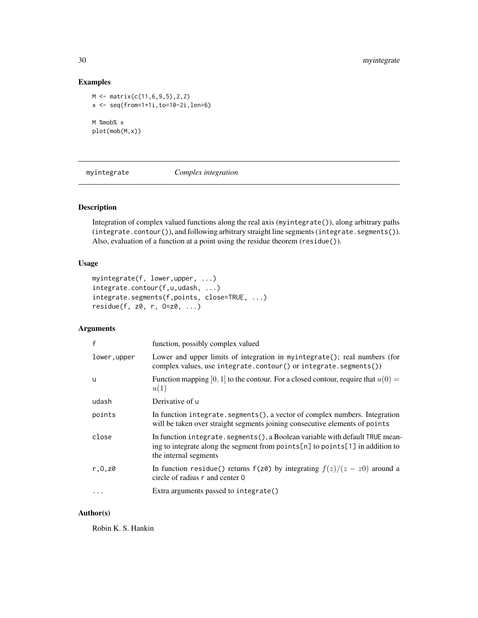# Examples

```
M <- matrix(c(11,6,9,5),2,2)
x <- seq(from=1+1i,to=10-2i,len=6)
M %mob% x
plot(mob(M,x))
```
myintegrate *Complex integration*

# Description

Integration of complex valued functions along the real axis (myintegrate()), along arbitrary paths (integrate.contour()), and following arbitrary straight line segments (integrate.segments()). Also, evaluation of a function at a point using the residue theorem (residue()).

# Usage

```
myintegrate(f, lower,upper, ...)
integrate.contour(f,u,udash, ...)
integrate.segments(f,points, close=TRUE, ...)
residue(f, z0, r, 0=z0, ...)
```
# Arguments

| $\mathsf{f}$         | function, possibly complex valued                                                                                                                                                       |
|----------------------|-----------------------------------------------------------------------------------------------------------------------------------------------------------------------------------------|
| lower,upper          | Lower and upper limits of integration in myintegrate(); real numbers (for<br>complex values, use integrate.contour() or integrate.segments())                                           |
| <b>u</b>             | Function mapping [0, 1] to the contour. For a closed contour, require that $u(0) =$<br>u(1)                                                                                             |
| udash                | Derivative of u                                                                                                                                                                         |
| points               | In function integrate.segments(), a vector of complex numbers. Integration<br>will be taken over straight segments joining consecutive elements of points                               |
| close                | In function integrate. segments(), a Boolean variable with default TRUE mean-<br>ing to integrate along the segment from points[n] to points[1] in addition to<br>the internal segments |
| r, 0, z <sub>0</sub> | In function residue() returns $f(z\theta)$ by integrating $f(z)/(z - z\theta)$ around a<br>circle of radius r and center 0                                                              |
|                      | Extra arguments passed to integrate()                                                                                                                                                   |
|                      |                                                                                                                                                                                         |

#### Author(s)

Robin K. S. Hankin

<span id="page-29-0"></span>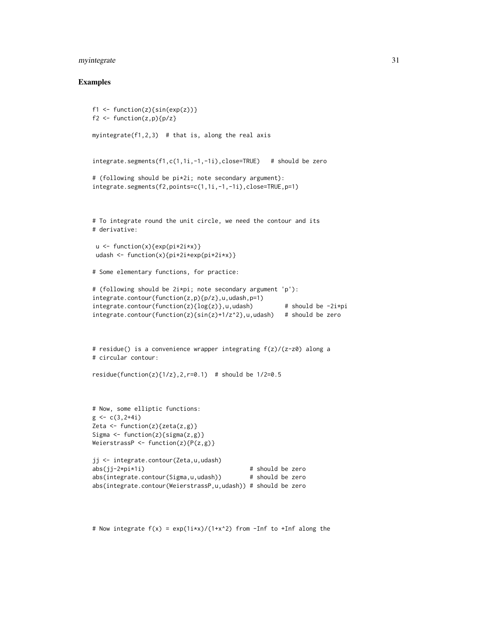# myintegrate 31

#### Examples

```
f1 <- function(z){sin(exp(z))}
f2 \leftarrow function(z,p)\{p/z\}myintegrate(f1,2,3) # that is, along the real axis
integrate.segments(f1,c(1,1i,-1,-1i),close=TRUE) # should be zero
# (following should be pi*2i; note secondary argument):
integrate.segments(f2,points=c(1,1i,-1,-1i),close=TRUE,p=1)
# To integrate round the unit circle, we need the contour and its
# derivative:
 u <- function(x){exp(pi*2i*x)}
 udash <- function(x){pi*2i*exp(pi*2i*x)}
# Some elementary functions, for practice:
# (following should be 2i*pi; note secondary argument 'p'):
integrate.contour(function(z,p){p/z},u,udash,p=1)
integrate.contour(function(z){log(z)},u,udash) # should be -2i*piintegerate.comtour(function(z){sin(z)+1/z^2},u,udash) # should be zero
# residue() is a convenience wrapper integrating f(z)/(z-z0) along a
# circular contour:
residue(function(z)\{1/z\}, 2, r=0.1) # should be 1/2=0.5# Now, some elliptic functions:
g \leftarrow c(3, 2+4i)Zeta \leftarrow function(z){zeta(z,g)}
Sigma \leftarrow function(z){sigma(z,g)}
WeierstrassP <- function(z)\{P(z,g)\}jj <- integrate.contour(Zeta,u,udash)
abs(jj-2*pi*1i) # should be zero
abs(integrate.contour(Sigma,u,udash)) # should be zero
abs(integrate.contour(WeierstrassP,u,udash)) # should be zero
```
# Now integrate  $f(x) = exp(1ix)/(1+x^2)$  from -Inf to +Inf along the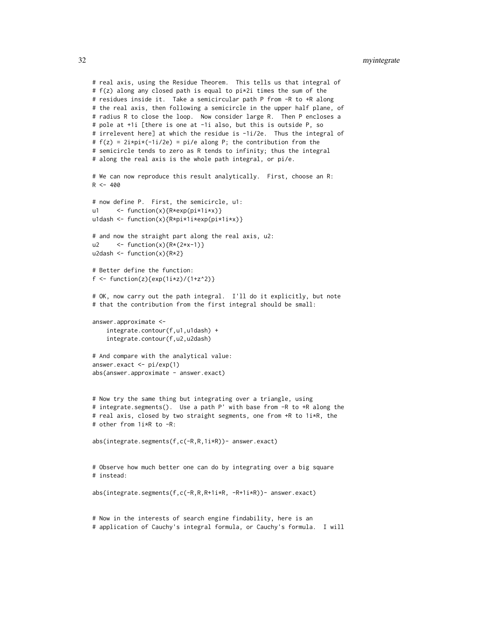```
# real axis, using the Residue Theorem. This tells us that integral of
# f(z) along any closed path is equal to pi*2i times the sum of the
# residues inside it. Take a semicircular path P from -R to +R along
# the real axis, then following a semicircle in the upper half plane, of
# radius R to close the loop. Now consider large R. Then P encloses a
# pole at +1i [there is one at -1i also, but this is outside P, so
# irrelevent here] at which the residue is -1i/2e. Thus the integral of
# f(z) = 2i * pi * (-1i/2e) = pi/e along P; the contribution from the
# semicircle tends to zero as R tends to infinity; thus the integral
# along the real axis is the whole path integral, or pi/e.
# We can now reproduce this result analytically. First, choose an R:
R < -400# now define P. First, the semicircle, u1:
u1 <- function(x){R*exp(pi*1i*x)}
u1dash <- function(x){R*pi*1i*exp(pi*1i*x)}
# and now the straight part along the real axis, u2:
u2 \left\{ -\text{function}(x)\right\} \left\{ R*(2*x-1)\right\}u2dash \leq function(x){R*2}
# Better define the function:
f <- function(z){exp(1i*z)/(1+z^2)}
# OK, now carry out the path integral. I'll do it explicitly, but note
# that the contribution from the first integral should be small:
answer.approximate <-
    integrate.contour(f,u1,u1dash) +
    integrate.contour(f,u2,u2dash)
# And compare with the analytical value:
answer.exact <- pi/exp(1)
abs(answer.approximate - answer.exact)
# Now try the same thing but integrating over a triangle, using
# integrate.segments(). Use a path P' with base from -R to +R along the
# real axis, closed by two straight segments, one from +R to 1i*R, the
# other from 1i*R to -R:
abs(integrate.segments(f,c(-R,R,1i*R))- answer.exact)
# Observe how much better one can do by integrating over a big square
# instead:
abs(integrate.segments(f,c(-R,R,R+1i*R, -R+1i*R))- answer.exact)
# Now in the interests of search engine findability, here is an
# application of Cauchy's integral formula, or Cauchy's formula. I will
```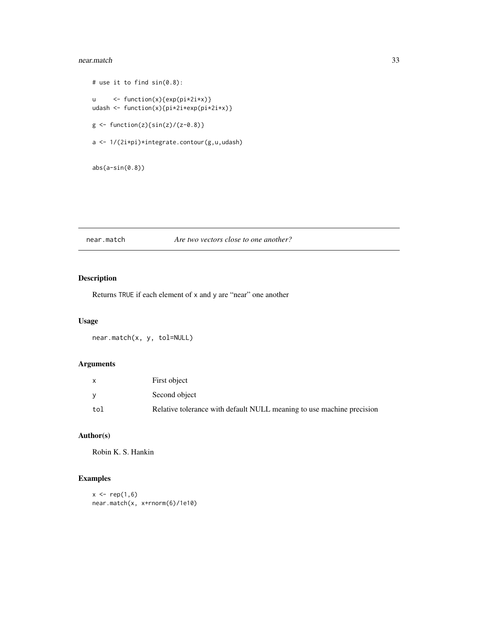#### <span id="page-32-0"></span>near.match 33

```
# use it to find sin(0.8):
u <- function(x){exp(pi*2i*x)}
udash <- function(x){pi*2i*exp(pi*2i*x)}
g \leftarrow function(z) {\sin(z) / (z-0.8)}a <- 1/(2i*pi)*integrate.contour(g,u,udash)
```

```
abs(a-sin(0.8))
```
# near.match *Are two vectors close to one another?*

# Description

Returns TRUE if each element of x and y are "near" one another

#### Usage

near.match(x, y, tol=NULL)

# Arguments

| $\mathsf{x}$ | First object                                                          |
|--------------|-----------------------------------------------------------------------|
|              | Second object                                                         |
| tol          | Relative tolerance with default NULL meaning to use machine precision |

# Author(s)

Robin K. S. Hankin

# Examples

```
x < - rep(1, 6)near.match(x, x+rnorm(6)/1e10)
```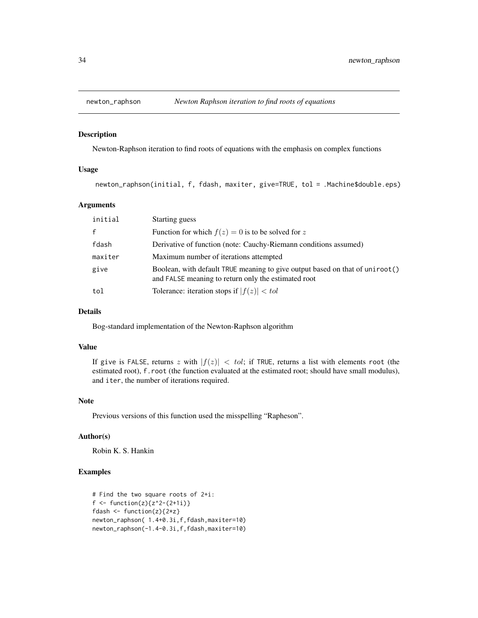<span id="page-33-0"></span>

Newton-Raphson iteration to find roots of equations with the emphasis on complex functions

#### Usage

newton\_raphson(initial, f, fdash, maxiter, give=TRUE, tol = .Machine\$double.eps)

#### Arguments

| initial | Starting guess                                                                                                                      |
|---------|-------------------------------------------------------------------------------------------------------------------------------------|
| f       | Function for which $f(z) = 0$ is to be solved for z                                                                                 |
| fdash   | Derivative of function (note: Cauchy-Riemann conditions assumed)                                                                    |
| maxiter | Maximum number of iterations attempted                                                                                              |
| give    | Boolean, with default TRUE meaning to give output based on that of uniroot()<br>and FALSE meaning to return only the estimated root |
| tol     | Tolerance: iteration stops if $ f(z)  < tol$                                                                                        |

#### Details

Bog-standard implementation of the Newton-Raphson algorithm

#### Value

If give is FALSE, returns z with  $|f(z)| < tol$ ; if TRUE, returns a list with elements root (the estimated root), f.root (the function evaluated at the estimated root; should have small modulus), and iter, the number of iterations required.

# Note

Previous versions of this function used the misspelling "Rapheson".

#### Author(s)

Robin K. S. Hankin

# Examples

```
# Find the two square roots of 2+i:
f <- function(z){z<sup>2</sup>-(2+1i)}
fdash \leftarrow function(z){2*z}
newton_raphson( 1.4+0.3i,f,fdash,maxiter=10)
newton_raphson(-1.4-0.3i,f,fdash,maxiter=10)
```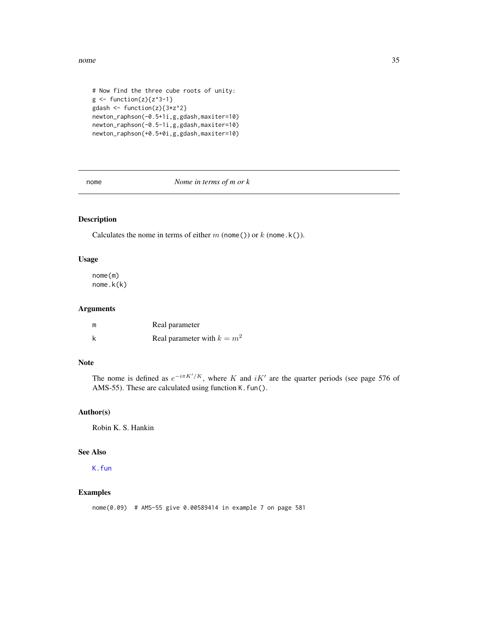<span id="page-34-0"></span>nome 35

```
# Now find the three cube roots of unity:
g \leftarrow function(z)\{z^3-1\}gdash \leq function(z){3*z^2}
newton_raphson(-0.5+1i,g,gdash,maxiter=10)
newton_raphson(-0.5-1i,g,gdash,maxiter=10)
newton_raphson(+0.5+0i,g,gdash,maxiter=10)
```
nome *Nome in terms of m or k*

# Description

Calculates the nome in terms of either  $m$  (nome()) or  $k$  (nome.k()).

#### Usage

nome(m) nome.k(k)

#### Arguments

| m | Real parameter                |
|---|-------------------------------|
| k | Real parameter with $k = m^2$ |

#### Note

The nome is defined as  $e^{-i\pi K'/K}$ , where K and  $iK'$  are the quarter periods (see page 576 of AMS-55). These are calculated using function K. fun().

# Author(s)

Robin K. S. Hankin

# See Also

[K.fun](#page-23-1)

#### Examples

nome(0.09) # AMS-55 give 0.00589414 in example 7 on page 581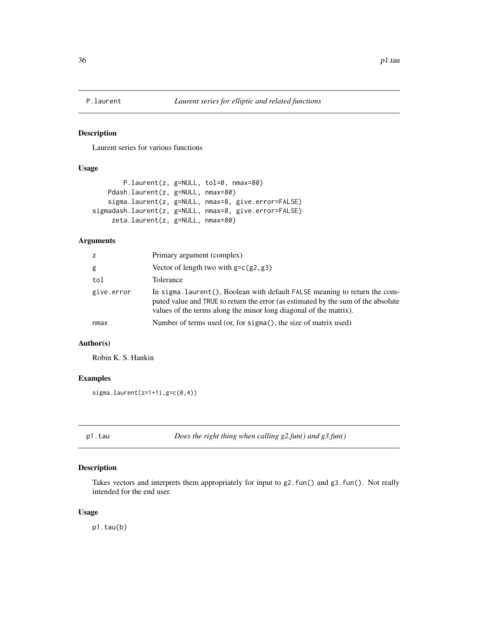<span id="page-35-1"></span><span id="page-35-0"></span>

Laurent series for various functions

# Usage

```
P.laurent(z, g=NULL, tol=0, nmax=80)
   Pdash.laurent(z, g=NULL, nmax=80)
    sigma.laurent(z, g=NULL, nmax=8, give.error=FALSE)
sigmadash.laurent(z, g=NULL, nmax=8, give.error=FALSE)
     zeta.laurent(z, g=NULL, nmax=80)
```
# Arguments

| z          | Primary argument (complex)                                                                                                                                                                                                           |
|------------|--------------------------------------------------------------------------------------------------------------------------------------------------------------------------------------------------------------------------------------|
| g          | Vector of length two with $g = c(g_2, g_3)$                                                                                                                                                                                          |
| tol        | Tolerance                                                                                                                                                                                                                            |
| give.error | In sigma. laurent(), Boolean with default FALSE meaning to return the com-<br>puted value and TRUE to return the error (as estimated by the sum of the absolute<br>values of the terms along the minor long diagonal of the matrix). |
| nmax       | Number of terms used (or, for sigma(), the size of matrix used)                                                                                                                                                                      |

# Author(s)

Robin K. S. Hankin

# Examples

```
sigma.laurent(z=1+1i,g=c(0,4))
```

|  | ٠<br>۰, |
|--|---------|

p<sub>2.fun</sub> *Does the right thing when calling g2.fun() and g3.fun()* 

# Description

Takes vectors and interprets them appropriately for input to g2.fun() and g3.fun(). Not really intended for the end user.

#### Usage

p1.tau(b)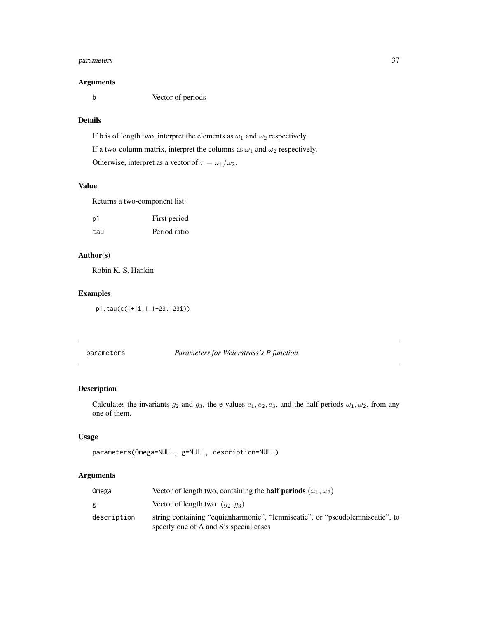# <span id="page-36-0"></span>parameters 37

#### Arguments

b Vector of periods

# Details

If b is of length two, interpret the elements as  $\omega_1$  and  $\omega_2$  respectively. If a two-column matrix, interpret the columns as  $\omega_1$  and  $\omega_2$  respectively. Otherwise, interpret as a vector of  $\tau = \omega_1/\omega_2$ .

#### Value

Returns a two-component list:

| p1  | First period |
|-----|--------------|
| tau | Period ratio |

# Author(s)

Robin K. S. Hankin

# Examples

p1.tau(c(1+1i,1.1+23.123i))

# <span id="page-36-1"></span>parameters *Parameters for Weierstrass's P function*

# Description

Calculates the invariants  $g_2$  and  $g_3$ , the e-values  $e_1, e_2, e_3$ , and the half periods  $\omega_1, \omega_2$ , from any one of them.

# Usage

```
parameters(Omega=NULL, g=NULL, description=NULL)
```
# Arguments

| Omega       | Vector of length two, containing the <b>half periods</b> $(\omega_1, \omega_2)$                                         |
|-------------|-------------------------------------------------------------------------------------------------------------------------|
|             | Vector of length two: $(q_2, q_3)$                                                                                      |
| description | string containing "equianharmonic", "lemniscatic", or "pseudolemniscatic", to<br>specify one of A and S's special cases |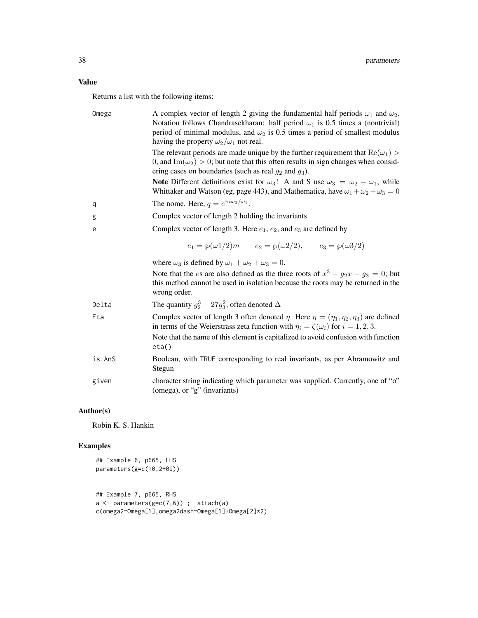Returns a list with the following items:

| Omega  | A complex vector of length 2 giving the fundamental half periods $\omega_1$ and $\omega_2$ .<br>Notation follows Chandrasekharan: half period $\omega_1$ is 0.5 times a (nontrivial)<br>period of minimal modulus, and $\omega_2$ is 0.5 times a period of smallest modulus<br>having the property $\omega_2/\omega_1$ not real. |  |
|--------|----------------------------------------------------------------------------------------------------------------------------------------------------------------------------------------------------------------------------------------------------------------------------------------------------------------------------------|--|
|        | The relevant periods are made unique by the further requirement that $\text{Re}(\omega_1)$<br>0, and Im( $\omega_2$ ) > 0; but note that this often results in sign changes when consid-<br>ering cases on boundaries (such as real $g_2$ and $g_3$ ).                                                                           |  |
|        | <b>Note</b> Different definitions exist for $\omega_3$ ! A and S use $\omega_3 = \omega_2 - \omega_1$ , while<br>Whittaker and Watson (eg, page 443), and Mathematica, have $\omega_1 + \omega_2 + \omega_3 = 0$                                                                                                                 |  |
| q      | The nome. Here, $q = e^{\pi i \omega_2/\omega_1}$ .                                                                                                                                                                                                                                                                              |  |
| g      | Complex vector of length 2 holding the invariants                                                                                                                                                                                                                                                                                |  |
| e      | Complex vector of length 3. Here $e_1, e_2$ , and $e_3$ are defined by                                                                                                                                                                                                                                                           |  |
|        | $e_1 = \wp(\omega 1/2)m$ $e_2 = \wp(\omega 2/2),$ $e_3 = \wp(\omega 3/2)$                                                                                                                                                                                                                                                        |  |
|        | where $\omega_3$ is defined by $\omega_1 + \omega_2 + \omega_3 = 0$ .                                                                                                                                                                                                                                                            |  |
|        | Note that the <i>es</i> are also defined as the three roots of $x^3 - g_2x - g_3 = 0$ ; but<br>this method cannot be used in isolation because the roots may be returned in the<br>wrong order.                                                                                                                                  |  |
| Delta  | The quantity $g_2^3 - 27g_3^2$ , often denoted $\Delta$                                                                                                                                                                                                                                                                          |  |
| Eta    | Complex vector of length 3 often denoted $\eta$ . Here $\eta = (\eta_1, \eta_2, \eta_3)$ are defined<br>in terms of the Weierstrass zeta function with $\eta_i = \zeta(\omega_i)$ for $i = 1, 2, 3$ .<br>Note that the name of this element is capitalized to avoid confusion with function<br>eta()                             |  |
| is.AnS | Boolean, with TRUE corresponding to real invariants, as per Abramowitz and<br>Stegun                                                                                                                                                                                                                                             |  |
| given  | character string indicating which parameter was supplied. Currently, one of "o"<br>(omega), or "g" (invariants)                                                                                                                                                                                                                  |  |

# Author(s)

Robin K. S. Hankin

# Examples

```
## Example 6, p665, LHS
parameters(g=c(10,2+0i))
```

```
## Example 7, p665, RHS
a \leftarrow parameters(g=c(7,6)) ; attach(a)
c(omega2=Omega[1],omega2dash=Omega[1]+Omega[2]*2)
```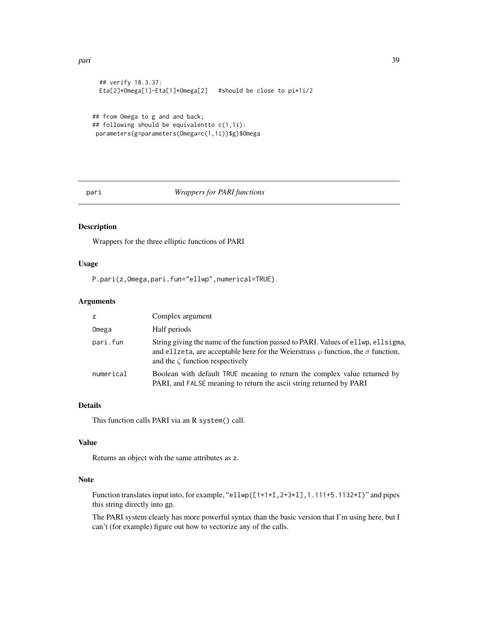```
## verify 18.3.37:
 Eta[2]*Omega[1]-Eta[1]*Omega[2] #should be close to pi*1i/2
## from Omega to g and and back;
## following should be equivalentto c(1,1i):
parameters(g=parameters(Omega=c(1,1i))$g)$Omega
```
#### pari *Wrappers for PARI functions*

# Description

Wrappers for the three elliptic functions of PARI

#### Usage

P.pari(z,Omega,pari.fun="ellwp",numerical=TRUE)

# Arguments

| z         | Complex argument                                                                                                                                                                                                          |
|-----------|---------------------------------------------------------------------------------------------------------------------------------------------------------------------------------------------------------------------------|
| Omega     | Half periods                                                                                                                                                                                                              |
| pari.fun  | String giving the name of the function passed to PARI. Values of ellup, ellsigma,<br>and ellecta, are acceptable here for the Weierstrass $\wp$ function, the $\sigma$ function,<br>and the $\zeta$ function respectively |
| numerical | Boolean with default TRUE meaning to return the complex value returned by<br>PARI, and FALSE meaning to return the ascii string returned by PARI                                                                          |

# Details

This function calls PARI via an R system() call.

#### Value

Returns an object with the same attributes as z.

#### Note

Function translates input into, for example, "ellwp([1+1\*I,2+3\*I],1.111+5.1132\*I)" and pipes this string directly into gp.

The PARI system clearly has more powerful syntax than the basic version that I'm using here, but I can't (for example) figure out how to vectorize any of the calls.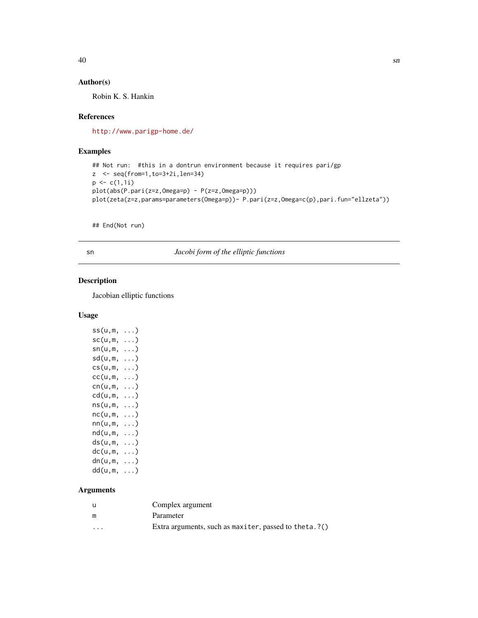# <span id="page-39-0"></span>Author(s)

Robin K. S. Hankin

# References

<http://www.parigp-home.de/>

# Examples

```
## Not run: #this in a dontrun environment because it requires pari/gp
z <- seq(from=1,to=3+2i,len=34)
p \leftarrow c(1,1i)plot(abs(P.pari(z=z,Omega=p) - P(z=z,Omega=p)))
plot(zeta(z=z,params=parameters(Omega=p))- P.pari(z=z,Omega=c(p),pari.fun="ellzeta"))
```
## End(Not run)

sn *Jacobi form of the elliptic functions*

# Description

Jacobian elliptic functions

# Usage

| ss(u,m, | . )        |
|---------|------------|
| sc(u,m, | $\ldots$ ) |
| sn(u,m, | $\ldots$ ) |
| sd(u,m, | . )        |
| cs(u,m, | $\ldots)$  |
| cc(u,m, | . )        |
| cn(u,m, | $\ldots$ ) |
| cd(u,m, | $\ldots$ ) |
| ns(u,m, | . )        |
| nc(u,m, | $\ldots$ ) |
| nn(u,m, | $\ldots$ ) |
| nd(u,m, | $\ldots$ ) |
| ds(u,m, | $\ldots$ ) |
| dc(u,m, | $\ldots$ ) |
| dn(u,m, | $\ldots$ ) |
| dd(u,m, | $\ldots$ ) |

# Arguments

|         | Complex argument                                       |
|---------|--------------------------------------------------------|
| m       | Parameter                                              |
| $\cdot$ | Extra arguments, such as maxiter, passed to theta. ?() |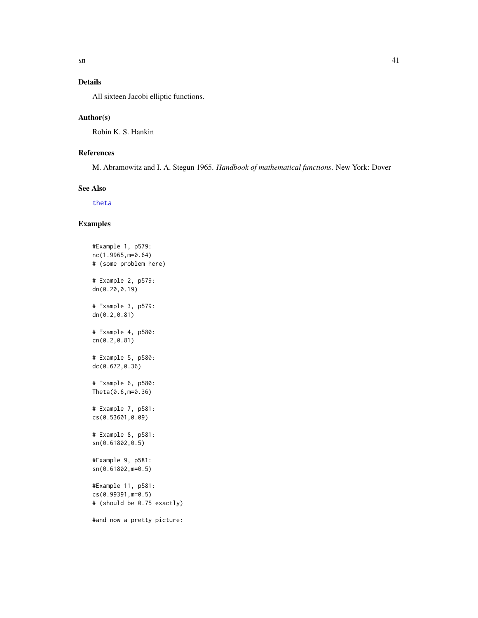# <span id="page-40-0"></span>Details

All sixteen Jacobi elliptic functions.

#### Author(s)

Robin K. S. Hankin

# References

M. Abramowitz and I. A. Stegun 1965. *Handbook of mathematical functions*. New York: Dover

#### See Also

[theta](#page-42-1)

# Examples

#Example 1, p579: nc(1.9965,m=0.64) # (some problem here) # Example 2, p579: dn(0.20,0.19) # Example 3, p579: dn(0.2,0.81) # Example 4, p580: cn(0.2,0.81) # Example 5, p580: dc(0.672,0.36) # Example 6, p580: Theta(0.6,m=0.36) # Example 7, p581: cs(0.53601,0.09) # Example 8, p581: sn(0.61802,0.5) #Example 9, p581: sn(0.61802,m=0.5) #Example 11, p581: cs(0.99391,m=0.5) # (should be 0.75 exactly) #and now a pretty picture: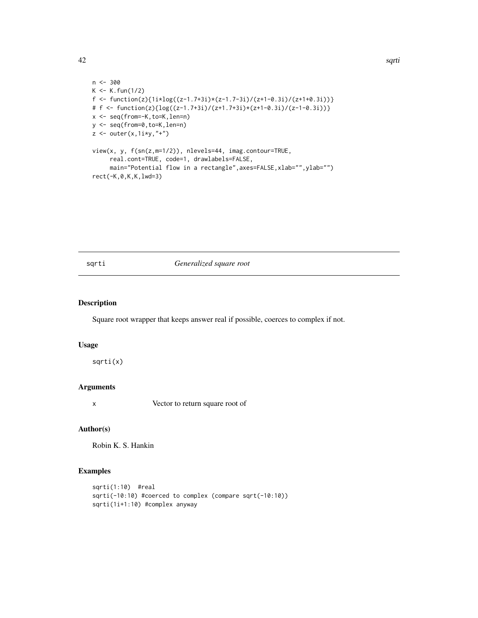<span id="page-41-0"></span>42 sqrti

```
n <- 300
K < - K. fun(1/2)
f <- function(z){1i*log((z-1.7+3i)*(z-1.7-3i)/(z+1-0.3i)/(z+1+0.3i))}
# f \leftarrow function(z) \{ log((z-1.7+3i)/(z+1.7+3i)*(z+1-0.3i)/(z-1-0.3i)) \}x <- seq(from=-K,to=K,len=n)
y <- seq(from=0,to=K,len=n)
z \leftarrow outer(x, 1i*y, "+")view(x, y, f(sn(z,m=1/2)), nlevels=44, imag.contour=TRUE,
     real.cont=TRUE, code=1, drawlabels=FALSE,
     main="Potential flow in a rectangle", axes=FALSE, xlab="", ylab="")
rect(-K,0,K,K,lwd=3)
```
#### sqrti *Generalized square root*

# Description

Square root wrapper that keeps answer real if possible, coerces to complex if not.

# Usage

sqrti(x)

#### Arguments

x Vector to return square root of

# Author(s)

Robin K. S. Hankin

#### Examples

```
sqrti(1:10) #real
sqrti(-10:10) #coerced to complex (compare sqrt(-10:10))
sqrti(1i+1:10) #complex anyway
```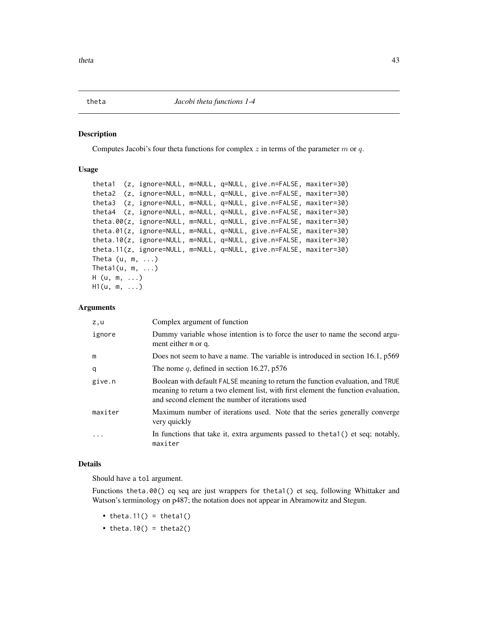<span id="page-42-1"></span><span id="page-42-0"></span>theta *Jacobi theta functions 1-4*

#### Description

Computes Jacobi's four theta functions for complex  $z$  in terms of the parameter  $m$  or  $q$ .

#### Usage

```
theta1 (z, ignore=NULL, m=NULL, q=NULL, give.n=FALSE, maxiter=30)
theta2 (z, ignore=NULL, m=NULL, q=NULL, give.n=FALSE, maxiter=30)
theta3 (z, ignore=NULL, m=NULL, q=NULL, give.n=FALSE, maxiter=30)
theta4 (z, ignore=NULL, m=NULL, q=NULL, give.n=FALSE, maxiter=30)
theta.00(z, ignore=NULL, m=NULL, q=NULL, give.n=FALSE, maxiter=30)
theta.01(z, ignore=NULL, m=NULL, q=NULL, give.n=FALSE, maxiter=30)
theta.10(z, ignore=NULL, m=NULL, q=NULL, give.n=FALSE, maxiter=30)
theta.11(z, ignore=NULL, m=NULL, q=NULL, give.n=FALSE, maxiter=30)
Theta (u, m, ...)
Theta1(u, m, \ldots)
H (u, m, ...)
H1(u, m, ...)
```
#### Arguments

| z,u     | Complex argument of function                                                                                                                                                                                            |
|---------|-------------------------------------------------------------------------------------------------------------------------------------------------------------------------------------------------------------------------|
| ignore  | Dummy variable whose intention is to force the user to name the second argu-<br>ment either m or q.                                                                                                                     |
| m       | Does not seem to have a name. The variable is introduced in section 16.1, p569                                                                                                                                          |
| q       | The nome q, defined in section 16.27, $p576$                                                                                                                                                                            |
| give.n  | Boolean with default FALSE meaning to return the function evaluation, and TRUE<br>meaning to return a two element list, with first element the function evaluation,<br>and second element the number of iterations used |
| maxiter | Maximum number of iterations used. Note that the series generally converge<br>very quickly                                                                                                                              |
|         | In functions that take it, extra arguments passed to the ta1() et seq; notably,<br>maxiter                                                                                                                              |

# Details

Should have a tol argument.

Functions theta.00() eq seq are just wrappers for theta1() et seq, following Whittaker and Watson's terminology on p487; the notation does not appear in Abramowitz and Stegun.

- theta.11() = theta1()
- theta.10() = theta2()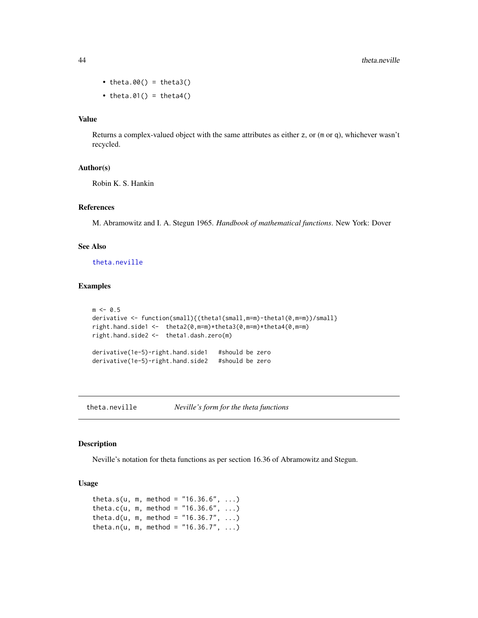- theta.00() = theta3()
- theta.01() = theta4()

#### Value

Returns a complex-valued object with the same attributes as either z, or (m or q), whichever wasn't recycled.

#### Author(s)

Robin K. S. Hankin

#### References

M. Abramowitz and I. A. Stegun 1965. *Handbook of mathematical functions*. New York: Dover

#### See Also

[theta.neville](#page-43-1)

#### Examples

```
m < -0.5derivative <- function(small){(theta1(small,m=m)-theta1(0,m=m))/small}
right.hand.side1 <- theta2(0,m=m)*theta3(0,m=m)*theta4(0,m=m)
right.hand.side2 <- theta1.dash.zero(m)
derivative(1e-5)-right.hand.side1 #should be zero
derivative(1e-5)-right.hand.side2 #should be zero
```
<span id="page-43-1"></span>theta.neville *Neville's form for the theta functions*

#### Description

Neville's notation for theta functions as per section 16.36 of Abramowitz and Stegun.

#### Usage

```
theta.s(u, m, method = "16.36.6", ...)
theta.c(u, m, method = "16.36.6", ...)
theta.d(u, m, method = "16.36.7", ...)
theta.n(u, m, method = "16.36.7", ...)
```
<span id="page-43-0"></span>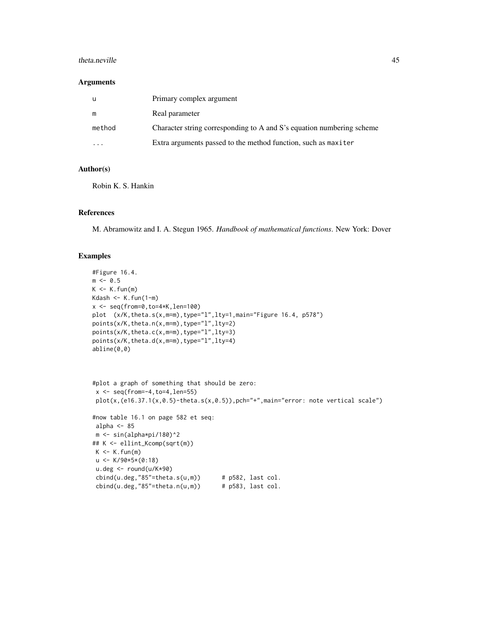#### theta.neville 45

#### Arguments

| u      | Primary complex argument                                              |
|--------|-----------------------------------------------------------------------|
| m      | Real parameter                                                        |
| method | Character string corresponding to A and S's equation numbering scheme |
|        | Extra arguments passed to the method function, such as maxiter        |

# Author(s)

Robin K. S. Hankin

# References

M. Abramowitz and I. A. Stegun 1965. *Handbook of mathematical functions*. New York: Dover

#### Examples

```
#Figure 16.4.
m < -0.5K < -K. fun(m)
Kdash \leq K.fun(1-m)
x \leq -\text{seq}(\text{from=0},\text{to=4*K},\text{len=100})plot (x/K,theta.s(x,m=m),type="l",lty=1,main="Figure 16.4, p578")
points(x/K,theta.n(x,m=m),type="l",lty=2)
points(x/K,theta.c(x,m=m),type="l",lty=3)
points(x/K,theta.d(x,m=m),type="l",lty=4)
abline(0,0)
#plot a graph of something that should be zero:
 x \leftarrow \text{seq}(\text{from}=-4, \text{to}=4, \text{len}=55)plot(x,(e16.37.1(x,0.5)-theta.s(x,0.5)),pch="+",main="error: note vertical scale")
#now table 16.1 on page 582 et seq:
 alpha <-85m <- sin(alpha*pi/180)^2
## K <- ellint_Kcomp(sqrt(m))
 K < -K. fun(m)
 u < -K/90*5*(0:18)u.deg <- round(u/K*90)
 cbind(u.deg,"85" = theta.s(u,m)) # p582, last col.
 cbind(u.deg,'85" = theta.n(u,m)) # p583, last col.
```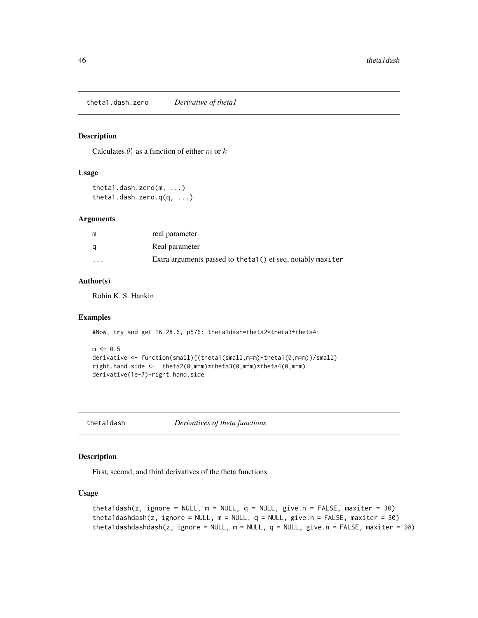<span id="page-45-0"></span>theta1.dash.zero *Derivative of theta1*

#### Description

Calculates  $\theta_1'$  as a function of either m or k

#### Usage

```
theta1.dash.zero(m, ...)
theta1.dash.zero.q(q, ...)
```
# Arguments

| m        | real parameter                                              |
|----------|-------------------------------------------------------------|
| q        | Real parameter                                              |
| $\cdots$ | Extra arguments passed to the tal() et seq, notably maxiter |

# Author(s)

Robin K. S. Hankin

# Examples

```
#Now, try and get 16.28.6, p576: theta1dash=theta2*theta3*theta4:
```

```
m < -0.5derivative <- function(small){(theta1(small,m=m)-theta1(0,m=m))/small}
right.hand.side <- theta2(0,m=m)*theta3(0,m=m)*theta4(0,m=m)
derivative(1e-7)-right.hand.side
```
theta1dash *Derivatives of theta functions*

#### Description

First, second, and third derivatives of the theta functions

# Usage

```
theta1dash(z, ignore = NULL, m = NULL, q = NULL, give.n = FALSE, maxiter = 30)
theta1dashdash(z, ignore = NULL, m = NULL, q = NULL, give.n = FALSE, maxiter = 30)
theta1dashdashdash(z, ignore = NULL, m = NULL, q = NULL, give.n = FALSE, maxiter = 30)
```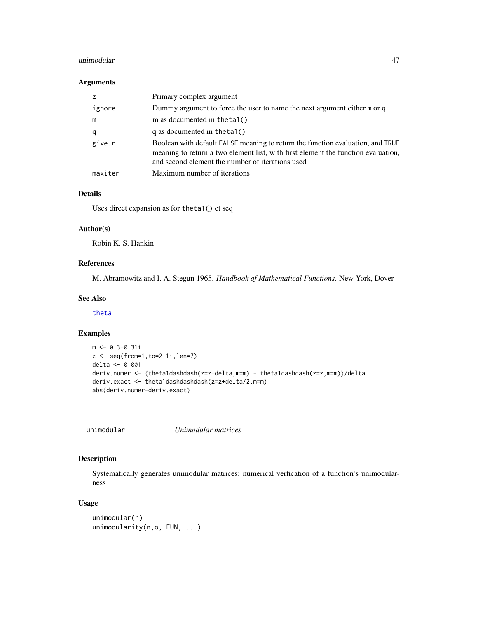#### <span id="page-46-0"></span>unimodular 47

#### Arguments

|         | Primary complex argument                                                                                                                                                                                                |
|---------|-------------------------------------------------------------------------------------------------------------------------------------------------------------------------------------------------------------------------|
| ignore  | Dummy argument to force the user to name the next argument either $m$ or $q$                                                                                                                                            |
| m       | m as documented in the ta $1()$                                                                                                                                                                                         |
| q       | q as documented in the tal( $)$                                                                                                                                                                                         |
| give.n  | Boolean with default FALSE meaning to return the function evaluation, and TRUE<br>meaning to return a two element list, with first element the function evaluation,<br>and second element the number of iterations used |
| maxiter | Maximum number of iterations                                                                                                                                                                                            |

#### Details

Uses direct expansion as for theta1() et seq

# Author(s)

Robin K. S. Hankin

# References

M. Abramowitz and I. A. Stegun 1965. *Handbook of Mathematical Functions.* New York, Dover

#### See Also

[theta](#page-42-1)

#### Examples

```
m <- 0.3+0.31i
z <- seq(from=1,to=2+1i,len=7)
delta <- 0.001
deriv.numer <- (theta1dashdash(z=z+delta,m=m) - theta1dashdash(z=z,m=m))/delta
deriv.exact <- theta1dashdashdash(z=z+delta/2,m=m)
abs(deriv.numer-deriv.exact)
```
<span id="page-46-1"></span>unimodular *Unimodular matrices*

# Description

Systematically generates unimodular matrices; numerical verfication of a function's unimodularness

#### Usage

```
unimodular(n)
unimodularity(n,o, FUN, ...)
```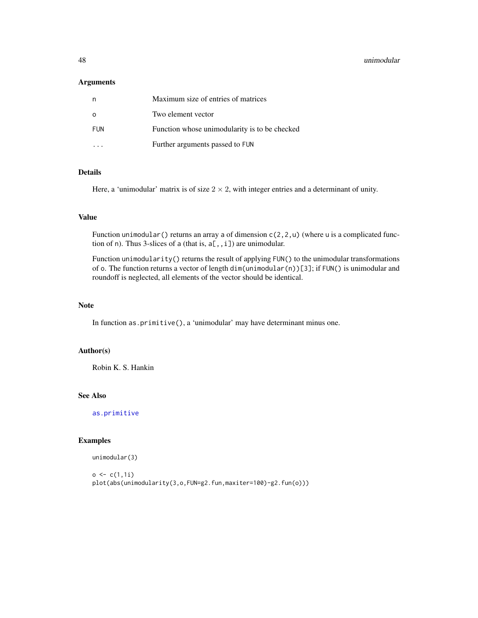#### <span id="page-47-0"></span>48 unimodular

#### Arguments

| n        | Maximum size of entries of matrices           |
|----------|-----------------------------------------------|
| $\Omega$ | Two element vector                            |
| FUN      | Function whose unimodularity is to be checked |
|          | Further arguments passed to FUN               |

# Details

Here, a 'unimodular' matrix is of size  $2 \times 2$ , with integer entries and a determinant of unity.

#### Value

Function unimodular () returns an array a of dimension  $c(2,2,u)$  (where u is a complicated function of n). Thus 3-slices of a (that is,  $a[,$ , i]) are unimodular.

Function unimodularity() returns the result of applying FUN() to the unimodular transformations of o. The function returns a vector of length dim(unimodular(n))[3]; if FUN() is unimodular and roundoff is neglected, all elements of the vector should be identical.

# Note

In function as.primitive(), a 'unimodular' may have determinant minus one.

#### Author(s)

Robin K. S. Hankin

# See Also

[as.primitive](#page-6-1)

#### Examples

unimodular(3)

```
o \leftarrow c(1,1i)plot(abs(unimodularity(3,o,FUN=g2.fun,maxiter=100)-g2.fun(o)))
```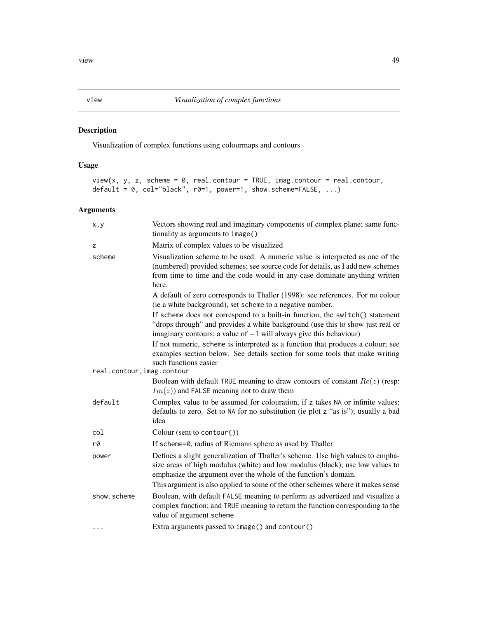<span id="page-48-0"></span>Visualization of complex functions using colourmaps and contours

# Usage

```
view(x, y, z, scheme = 0, real.contrib = TRUE, imagecontour = real.contribdefault = 0, col="black", r0=1, power=1, show.scheme=FALSE, ...)
```
# Arguments

| x,y                        | Vectors showing real and imaginary components of complex plane; same func-<br>tionality as arguments to image()                                                                                                                                        |
|----------------------------|--------------------------------------------------------------------------------------------------------------------------------------------------------------------------------------------------------------------------------------------------------|
| z                          | Matrix of complex values to be visualized                                                                                                                                                                                                              |
| scheme                     | Visualization scheme to be used. A numeric value is interpreted as one of the<br>(numbered) provided schemes; see source code for details, as I add new schemes<br>from time to time and the code would in any case dominate anything written<br>here. |
|                            | A default of zero corresponds to Thaller (1998): see references. For no colour<br>(ie a white background), set scheme to a negative number.                                                                                                            |
|                            | If scheme does not correspond to a built-in function, the switch() statement<br>"drops through" and provides a white background (use this to show just real or<br>imaginary contours; a value of $-1$ will always give this behaviour)                 |
|                            | If not numeric, scheme is interpreted as a function that produces a colour; see<br>examples section below. See details section for some tools that make writing<br>such functions easier                                                               |
| real.contour, imag.contour |                                                                                                                                                                                                                                                        |
|                            | Boolean with default TRUE meaning to draw contours of constant $Re(z)$ (resp:<br>$Im(z)$ ) and FALSE meaning not to draw them                                                                                                                          |
| default                    | Complex value to be assumed for colouration, if z takes NA or infinite values;<br>defaults to zero. Set to NA for no substitution (ie plot z "as is"); usually a bad<br>idea                                                                           |
| col                        | Colour (sent to contour())                                                                                                                                                                                                                             |
| rØ                         | If scheme=0, radius of Riemann sphere as used by Thaller                                                                                                                                                                                               |
| power                      | Defines a slight generalization of Thaller's scheme. Use high values to empha-<br>size areas of high modulus (white) and low modulus (black); use low values to<br>emphasize the argument over the whole of the function's domain.                     |
|                            | This argument is also applied to some of the other schemes where it makes sense                                                                                                                                                                        |
| show.scheme                | Boolean, with default FALSE meaning to perform as advertized and visualize a<br>complex function; and TRUE meaning to return the function corresponding to the<br>value of argument scheme                                                             |
| .                          | Extra arguments passed to image() and contour()                                                                                                                                                                                                        |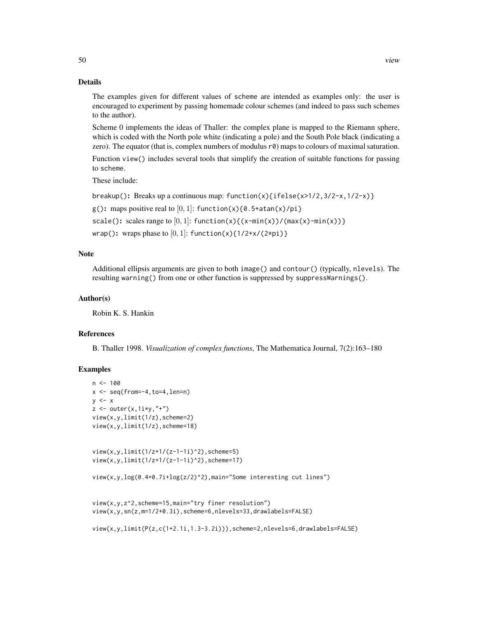The examples given for different values of scheme are intended as examples only: the user is encouraged to experiment by passing homemade colour schemes (and indeed to pass such schemes to the author).

Scheme 0 implements the ideas of Thaller: the complex plane is mapped to the Riemann sphere, which is coded with the North pole white (indicating a pole) and the South Pole black (indicating a zero). The equator (that is, complex numbers of modulus  $r\theta$ ) maps to colours of maximal saturation.

Function view() includes several tools that simplify the creation of suitable functions for passing to scheme.

These include:

breakup(): Breaks up a continuous map: function(x){ifelse(x>1/2,3/2-x,1/2-x)}

 $g()$ : maps positive real to  $[0, 1]$ : function(x){0.5+atan(x)/pi}

scale(): scales range to  $[0, 1]$ : function(x){(x-min(x))/(max(x)-min(x))}

wrap(): wraps phase to  $[0, 1]$ : function(x){1/2+x/(2\*pi)}

# Note

Additional ellipsis arguments are given to both image() and contour() (typically, nlevels). The resulting warning() from one or other function is suppressed by suppressWarnings().

#### Author(s)

Robin K. S. Hankin

# References

B. Thaller 1998. *Visualization of complex functions*, The Mathematica Journal, 7(2):163–180

#### Examples

```
n <- 100
x \leq -\text{seq}(\text{from}=-4,\text{to}=4,\text{len}=n)y \le -xz \le outer(x, 1i*y, "+")
view(x,y,limit(1/z),scheme=2)
view(x,y,limit(1/z),scheme=18)
view(x,y,limit(1/z+1/(z-1-1i)^2),scheme=5)
view(x,y,limit(1/z+1/(z-1-1i)^2),scheme=17)
view(x,y,log(0.4+0.7i+log(z/2)^2),main="Some interesting cut lines")
view(x,y,z^2,scheme=15,main="try finer resolution")
view(x,y,sn(z,m=1/2+0.3i),scheme=6,nlevels=33,drawlabels=FALSE)
view(x,y,limit(P(z,c(1+2.1i,1.3-3.2i))),scheme=2,nlevels=6,drawlabels=FALSE)
```
50 view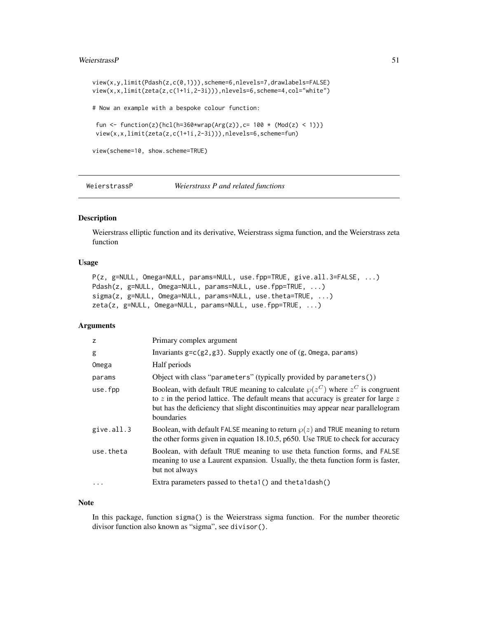#### <span id="page-50-0"></span>WeierstrassP 51

```
view(x,y,limit(Pdash(z,c(0,1))),scheme=6,nlevels=7,drawlabels=FALSE)
view(x,x,limit(zeta(z,c(1+1i,2-3i))),nlevels=6,scheme=4,col="white")
# Now an example with a bespoke colour function:
fun <- function(z){hcl(h=360*wrap(Arg(z)),c= 100 * (Mod(z) < 1))}
view(x,x,limit(zeta(z,c(1+1i,2-3i))),nlevels=6,scheme=fun)
view(scheme=10, show.scheme=TRUE)
```
WeierstrassP *Weierstrass P and related functions*

# Description

Weierstrass elliptic function and its derivative, Weierstrass sigma function, and the Weierstrass zeta function

# Usage

```
P(z, g=NULL, Omega=NULL, params=NULL, use.fpp=TRUE, give.all.3=FALSE, ...)
Pdash(z, g=NULL, Omega=NULL, params=NULL, use.fpp=TRUE, ...)
sigma(z, g=NULL, Omega=NULL, params=NULL, use.theta=TRUE, ...)
zeta(z, g=NULL, Omega=NULL, params=NULL, use.fpp=TRUE, ...)
```
# Arguments

| z          | Primary complex argument                                                                                                                                                                                                                                                        |
|------------|---------------------------------------------------------------------------------------------------------------------------------------------------------------------------------------------------------------------------------------------------------------------------------|
| g          | Invariants $g = c(g_2, g_3)$ . Supply exactly one of $(g, \text{Omega}, \text{params})$                                                                                                                                                                                         |
| Omega      | Half periods                                                                                                                                                                                                                                                                    |
| params     | Object with class "parameters" (typically provided by parameters())                                                                                                                                                                                                             |
| use.fpp    | Boolean, with default TRUE meaning to calculate $\wp(z^C)$ where $z^C$ is congruent<br>to $z$ in the period lattice. The default means that accuracy is greater for large $z$<br>but has the deficiency that slight discontinuities may appear near parallelogram<br>boundaries |
| give.all.3 | Boolean, with default FALSE meaning to return $\wp(z)$ and TRUE meaning to return<br>the other forms given in equation 18.10.5, p650. Use TRUE to check for accuracy                                                                                                            |
| use.theta  | Boolean, with default TRUE meaning to use theta function forms, and FALSE<br>meaning to use a Laurent expansion. Usually, the theta function form is faster,<br>but not always                                                                                                  |
| $\ddotsc$  | Extra parameters passed to the ta1() and the ta1 dash()                                                                                                                                                                                                                         |
|            |                                                                                                                                                                                                                                                                                 |

#### Note

In this package, function sigma() is the Weierstrass sigma function. For the number theoretic divisor function also known as "sigma", see divisor().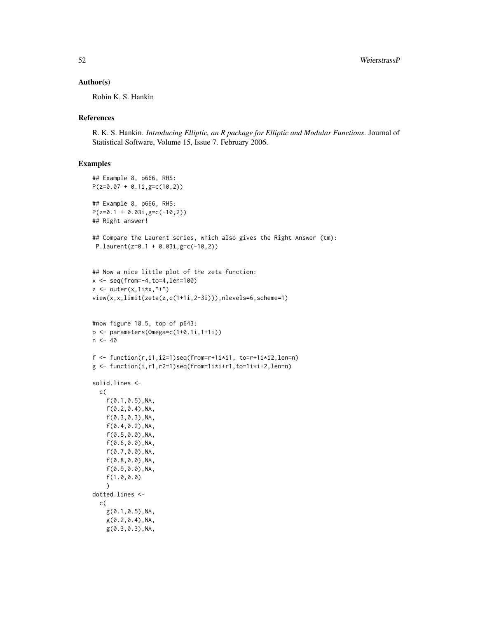#### Author(s)

Robin K. S. Hankin

# References

R. K. S. Hankin. *Introducing Elliptic, an R package for Elliptic and Modular Functions*. Journal of Statistical Software, Volume 15, Issue 7. February 2006.

# Examples

```
## Example 8, p666, RHS:
P(z=0.07 + 0.1i,g=c(10,2))
## Example 8, p666, RHS:
P(z=0.1 + 0.03i, g=c(-10, 2))## Right answer!
## Compare the Laurent series, which also gives the Right Answer (tm):
P.laurent(z=0.1 + 0.03i,g=c(-10,2))
## Now a nice little plot of the zeta function:
x \le - seq(from=-4, to=4, len=100)
z \leftarrow outer(x, 1i*x, "+")view(x,x,limit(zeta(z,c(1+1i,2-3i))),nlevels=6,scheme=1)
#now figure 18.5, top of p643:
p <- parameters(Omega=c(1+0.1i,1+1i))
n < -40f \leftarrow function(r, i1, i2=1)seq(from=r+1i \times i1, to=r+1i \times i2, len=n)
g \leftarrow function(i, r1, r2=1)seq(from=1i*i+r1,to=1i*i+2,len=n)
solid.lines <-
  c(
    f(0.1,0.5),NA,
    f(0.2,0.4),NA,
    f(0.3,0.3),NA,
    f(0.4,0.2),NA,
    f(0.5,0.0),NA,
    f(0.6,0.0),NA,
    f(0.7,0.0),NA,
    f(0.8,0.0),NA,
    f(0.9,0.0),NA,
    f(1.0,0.0)
    )
dotted.lines <-
  c(
    g(0.1,0.5),NA,
    g(0.2,0.4),NA,
    g(0.3,0.3),NA,
```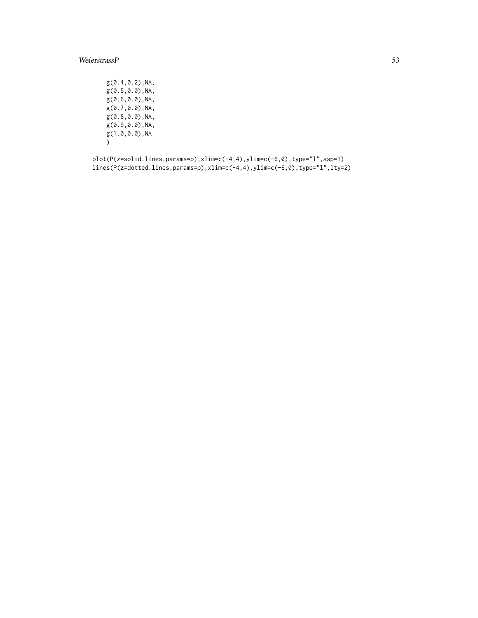# WeierstrassP 53

g(0.4,0.2),NA, g(0.5,0.0),NA, g(0.6,0.0),NA, g(0.7,0.0),NA, g(0.8,0.0),NA, g(0.9,0.0),NA, g(1.0,0.0),NA  $)$ 

plot(P(z=solid.lines,params=p),xlim=c(-4,4),ylim=c(-6,0),type="l",asp=1) lines(P(z=dotted.lines,params=p),xlim=c(-4,4),ylim=c(-6,0),type="l",lty=2)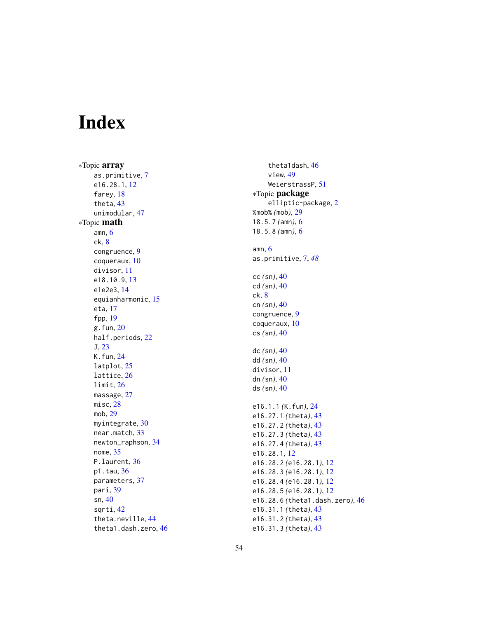# <span id="page-53-0"></span>Index

∗Topic array as.primitive , [7](#page-6-0) e16.28.1 , [12](#page-11-0) farey, [18](#page-17-0) theta , [43](#page-42-0) unimodular , [47](#page-46-0) ∗Topic math amn , [6](#page-5-0) ck , [8](#page-7-0) congruence , [9](#page-8-0) coqueraux , [10](#page-9-0) divisor , [11](#page-10-0) e18.10.9 , [13](#page-12-0) e1e2e3 , [14](#page-13-0) equianharmonic , [15](#page-14-0) eta , [17](#page-16-0) fpp , [19](#page-18-0) g.fun , [20](#page-19-0) half.periods, [22](#page-21-0) J , [23](#page-22-0) K.fun , [24](#page-23-0) latplot , [25](#page-24-0) lattice , [26](#page-25-0) limit , [26](#page-25-0) massage , [27](#page-26-0) misc , [28](#page-27-0) mob , [29](#page-28-0) myintegrate, [30](#page-29-0) near.match , [33](#page-32-0) newton\_raphson , [34](#page-33-0) nome , [35](#page-34-0) P.laurent, [36](#page-35-0) p1.tau, [36](#page-35-0) parameters , [37](#page-36-0) pari , [39](#page-38-0) sn , [40](#page-39-0) sqrti , [42](#page-41-0) theta.neville, [44](#page-43-0) theta1.dash.zero , [46](#page-45-0)

theta1dash , [46](#page-45-0) view , [49](#page-48-0) WeierstrassP , [51](#page-50-0) ∗Topic package elliptic-package , [2](#page-1-0) %mob% *(*mob *)* , [29](#page-28-0) 18.5.7 *(*amn *)* , [6](#page-5-0) 18.5.8 *(*amn *)* , [6](#page-5-0) amn , [6](#page-5-0) as.primitive , [7](#page-6-0) , *[48](#page-47-0)* cc *(*sn *)* , [40](#page-39-0) cd *(*sn *)* , [40](#page-39-0) ck , [8](#page-7-0) cn *(*sn *)* , [40](#page-39-0) congruence , [9](#page-8-0) coqueraux , [10](#page-9-0) cs *(*sn *)* , [40](#page-39-0) dc *(*sn *)* , [40](#page-39-0) dd *(*sn *)* , [40](#page-39-0) divisor , [11](#page-10-0) dn *(*sn *)* , [40](#page-39-0) ds *(*sn *)* , [40](#page-39-0) e16.1.1 *(*K.fun *)* , [24](#page-23-0) e16.27.1 *(*theta *)* , [43](#page-42-0) e16.27.2 *(*theta *)* , [43](#page-42-0) e16.27.3 *(*theta *)* , [43](#page-42-0) e16.27.4 *(*theta *)* , [43](#page-42-0) e16.28.1 , [12](#page-11-0) e16.28.2 *(*e16.28.1 *)* , [12](#page-11-0) e16.28.3 *(*e16.28.1 *)* , [12](#page-11-0) e16.28.4 *(*e16.28.1 *)* , [12](#page-11-0) e16.28.5 *(*e16.28.1 *)* , [12](#page-11-0) e16.28.6 *(*theta1.dash.zero *)* , [46](#page-45-0) e16.31.1 *(*theta *)* , [43](#page-42-0) e16.31.2 *(*theta *)* , [43](#page-42-0) e16.31.3 *(*theta *)* , [43](#page-42-0)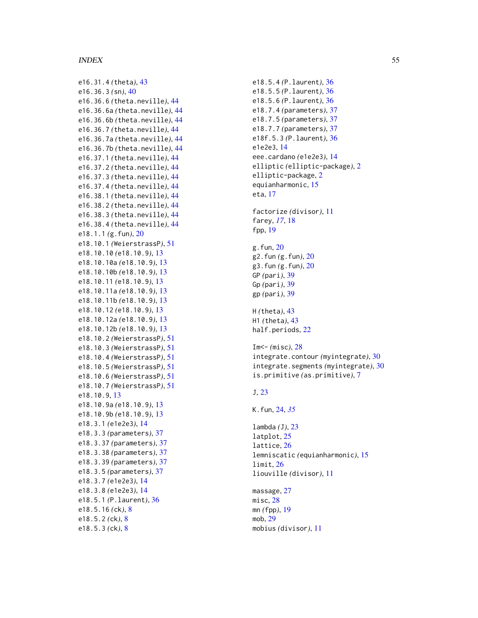#### INDEX 55

e16.31.4 *(*theta *)* , [43](#page-42-0) e16.36.3 *(*sn *)* , [40](#page-39-0) e16.36.6 *(*theta.neville *)* , [44](#page-43-0) e16.36.6a *(*theta.neville *)* , [44](#page-43-0) e16.36.6b *(*theta.neville *)* , [44](#page-43-0) e16.36.7 *(*theta.neville *)* , [44](#page-43-0) e16.36.7a *(*theta.neville *)* , [44](#page-43-0) e16.36.7b *(*theta.neville *)* , [44](#page-43-0) e16.37.1 *(*theta.neville *)* , [44](#page-43-0) e16.37.2 *(*theta.neville *)* , [44](#page-43-0) e16.37.3 *(*theta.neville *)* , [44](#page-43-0) e16.37.4 *(*theta.neville *)* , [44](#page-43-0) e16.38.1 *(*theta.neville *)* , [44](#page-43-0) e16.38.2 *(*theta.neville *)* , [44](#page-43-0) e16.38.3 *(*theta.neville *)* , [44](#page-43-0) e16.38.4 *(*theta.neville *)* , [44](#page-43-0) e18.1.1 *(*g.fun *)* , [20](#page-19-0) e18.10.1 *(*WeierstrassP *)* , [51](#page-50-0) e18.10.10 *(*e18.10.9 *)* , [13](#page-12-0) e18.10.10a *(*e18.10.9 *)* , [13](#page-12-0) e18.10.10b *(*e18.10.9 *)* , [13](#page-12-0) e18.10.11 *(*e18.10.9 *)* , [13](#page-12-0) e18.10.11a *(*e18.10.9 *)* , [13](#page-12-0) e18.10.11b *(*e18.10.9 *)* , [13](#page-12-0) e18.10.12 *(*e18.10.9 *)* , [13](#page-12-0) e18.10.12a *(*e18.10.9 *)* , [13](#page-12-0) e18.10.12b *(*e18.10.9 *)* , [13](#page-12-0) e18.10.2 *(*WeierstrassP *)* , [51](#page-50-0) e18.10.3 *(*WeierstrassP *)* , [51](#page-50-0) e18.10.4 *(*WeierstrassP *)* , [51](#page-50-0) e18.10.5 *(*WeierstrassP *)* , [51](#page-50-0) e18.10.6 *(*WeierstrassP *)* , [51](#page-50-0) e18.10.7 *(*WeierstrassP *)* , [51](#page-50-0) e18.10.9 , [13](#page-12-0) e18.10.9a *(*e18.10.9 *)* , [13](#page-12-0) e18.10.9b *(*e18.10.9 *)* , [13](#page-12-0) e18.3.1 *(*e1e2e3 *)* , [14](#page-13-0) e18.3.3 *(*parameters *)* , [37](#page-36-0) e18.3.37 *(*parameters *)* , [37](#page-36-0) e18.3.38 *(*parameters *)* , [37](#page-36-0) e18.3.39 *(*parameters *)* , [37](#page-36-0) e18.3.5 *(*parameters *)* , [37](#page-36-0) e18.3.7 *(*e1e2e3 *)* , [14](#page-13-0) e18.3.8 *(*e1e2e3 *)* , [14](#page-13-0) e18.5.1 *(*P.laurent *)* , [36](#page-35-0) e18.5.16 *(*ck *)* , [8](#page-7-0) e18.5.2 *(*ck *)* , [8](#page-7-0) e18.5.3 *(*ck *)* , [8](#page-7-0)

e18.5.4 *(*P.laurent *)* , [36](#page-35-0) e18.5.5 *(*P.laurent *)* , [36](#page-35-0) e18.5.6 *(*P.laurent *)* , [36](#page-35-0) e18.7.4 *(*parameters *)* , [37](#page-36-0) e18.7.5 *(*parameters *)* , [37](#page-36-0) e18.7.7 *(*parameters *)* , [37](#page-36-0) e18f.5.3 *(*P.laurent *)* , [36](#page-35-0) e1e2e3 , [14](#page-13-0) eee.cardano *(*e1e2e3 *)* , [14](#page-13-0) elliptic *(*elliptic-package *)* , [2](#page-1-0) elliptic-package , [2](#page-1-0) equianharmonic , [15](#page-14-0) eta , [17](#page-16-0) factorize *(*divisor *)* , [11](#page-10-0) farey , *[17](#page-16-0)* , [18](#page-17-0) fpp , [19](#page-18-0) g.fun , [20](#page-19-0) g2.fun *(*g.fun *)* , [20](#page-19-0) g3.fun *(*g.fun *)* , [20](#page-19-0) GP *(*pari *)* , [39](#page-38-0) Gp *(*pari *)* , [39](#page-38-0) gp *(*pari *)* , [39](#page-38-0) H *(*theta *)* , [43](#page-42-0) H1 *(*theta *)* , [43](#page-42-0) half.periods, $22\,$  $22\,$ Im<- *(*misc *)* , [28](#page-27-0) integrate.contour *(*myintegrate *)* , [30](#page-29-0) integrate.segments *(*myintegrate *)* , [30](#page-29-0) is.primitive *(*as.primitive *)* , [7](#page-6-0) J , [23](#page-22-0) K.fun , [24](#page-23-0) , *[35](#page-34-0)* lambda *(* J *)* , [23](#page-22-0) latplot , [25](#page-24-0) lattice , [26](#page-25-0) lemniscatic *(*equianharmonic *)* , [15](#page-14-0) limit , [26](#page-25-0) liouville *(*divisor *)* , [11](#page-10-0) massage, [27](#page-26-0) misc , [28](#page-27-0) mn *(*fpp *)* , [19](#page-18-0) mob , [29](#page-28-0) mobius *(*divisor *)* , [11](#page-10-0)